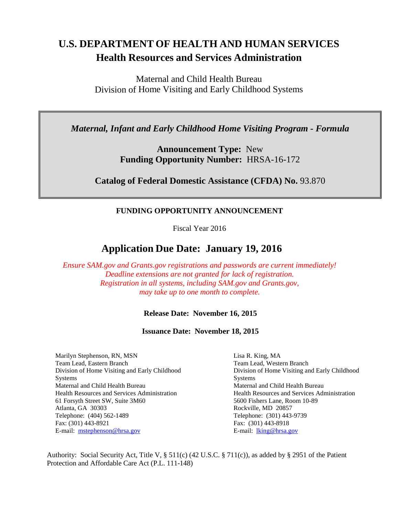# **U.S. DEPARTMENT OF HEALTH AND HUMAN SERVICES Health Resources and Services Administration**

Maternal and Child Health Bureau Division of Home Visiting and Early Childhood Systems

*Maternal, Infant and Early Childhood Home Visiting Program - Formula*

**Announcement Type:** New **Funding Opportunity Number:** HRSA-16-172

**Catalog of Federal Domestic Assistance (CFDA) No.** 93.870

# **FUNDING OPPORTUNITY ANNOUNCEMENT**

Fiscal Year 2016

# **Application Due Date: January 19, 2016**

*Ensure SAM.gov and Grants.gov registrations and passwords are current immediately! Deadline extensions are not granted for lack of registration. Registration in all systems, including SAM.gov and Grants.gov, may take up to one month to complete.*

#### **Release Date: November 16, 2015**

**Issuance Date: November 18, 2015**

Marilyn Stephenson, RN, MSN Team Lead, Eastern Branch Division of Home Visiting and Early Childhood **Systems** Maternal and Child Health Bureau Health Resources and Services Administration 61 Forsyth Street SW, Suite 3M60 Atlanta, GA 30303 Telephone: (404) 562-1489 Fax: (301) 443-8921 E-mail: [mstephenson@hrsa.gov](mailto:mstephenson@hrsa.gov)

Lisa R. King, MA Team Lead, Western Branch Division of Home Visiting and Early Childhood Systems Maternal and Child Health Bureau Health Resources and Services Administration 5600 Fishers Lane, Room 10-89 Rockville, MD 20857 Telephone: (301) 443-9739 Fax: (301) 443-8918 E-mail: [lking@hrsa.gov](mailto:lking@hrsa.gov)

Authority: Social Security Act, Title V, § 511(c) (42 U.S.C. § 711(c)), as added by § 2951 of the Patient Protection and Affordable Care Act (P.L. 111-148)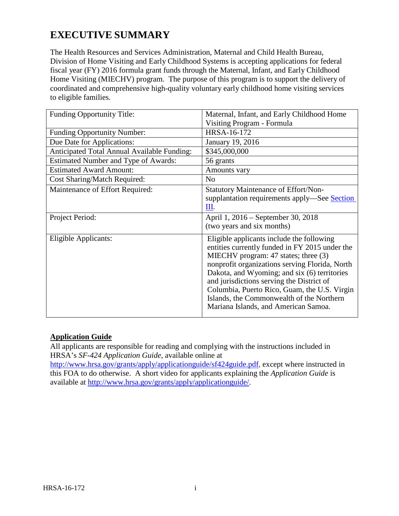# **EXECUTIVE SUMMARY**

The Health Resources and Services Administration, Maternal and Child Health Bureau, Division of Home Visiting and Early Childhood Systems is accepting applications for federal fiscal year (FY) 2016 formula grant funds through the Maternal, Infant, and Early Childhood Home Visiting (MIECHV) program. The purpose of this program is to support the delivery of coordinated and comprehensive high-quality voluntary early childhood home visiting services to eligible families.

| <b>Funding Opportunity Title:</b>           | Maternal, Infant, and Early Childhood Home                                                                                                                                                                                                                                                                                                                                                                              |
|---------------------------------------------|-------------------------------------------------------------------------------------------------------------------------------------------------------------------------------------------------------------------------------------------------------------------------------------------------------------------------------------------------------------------------------------------------------------------------|
|                                             | Visiting Program - Formula                                                                                                                                                                                                                                                                                                                                                                                              |
| <b>Funding Opportunity Number:</b>          | HRSA-16-172                                                                                                                                                                                                                                                                                                                                                                                                             |
| Due Date for Applications:                  | January 19, 2016                                                                                                                                                                                                                                                                                                                                                                                                        |
| Anticipated Total Annual Available Funding: | \$345,000,000                                                                                                                                                                                                                                                                                                                                                                                                           |
| Estimated Number and Type of Awards:        | 56 grants                                                                                                                                                                                                                                                                                                                                                                                                               |
| <b>Estimated Award Amount:</b>              | Amounts vary                                                                                                                                                                                                                                                                                                                                                                                                            |
| <b>Cost Sharing/Match Required:</b>         | N <sub>o</sub>                                                                                                                                                                                                                                                                                                                                                                                                          |
| Maintenance of Effort Required:             | <b>Statutory Maintenance of Effort/Non-</b><br>supplantation requirements apply—See Section<br>Ш.                                                                                                                                                                                                                                                                                                                       |
| Project Period:                             | April 1, 2016 – September 30, 2018<br>(two years and six months)                                                                                                                                                                                                                                                                                                                                                        |
| Eligible Applicants:                        | Eligible applicants include the following<br>entities currently funded in FY 2015 under the<br>MIECHV program: 47 states; three (3)<br>nonprofit organizations serving Florida, North<br>Dakota, and Wyoming; and six (6) territories<br>and jurisdictions serving the District of<br>Columbia, Puerto Rico, Guam, the U.S. Virgin<br>Islands, the Commonwealth of the Northern<br>Mariana Islands, and American Samoa. |

# **Application Guide**

All applicants are responsible for reading and complying with the instructions included in HRSA's *SF-424 Application Guide,* available online at

[http://www.hrsa.gov/grants/apply/applicationguide/sf424guide.pdf,](http://www.hrsa.gov/grants/apply/applicationguide/sf424guide.pdf) except where instructed in this FOA to do otherwise. A short video for applicants explaining the *Application Guide* is available at [http://www.hrsa.gov/grants/apply/applicationguide/.](http://www.hrsa.gov/grants/apply/applicationguide/)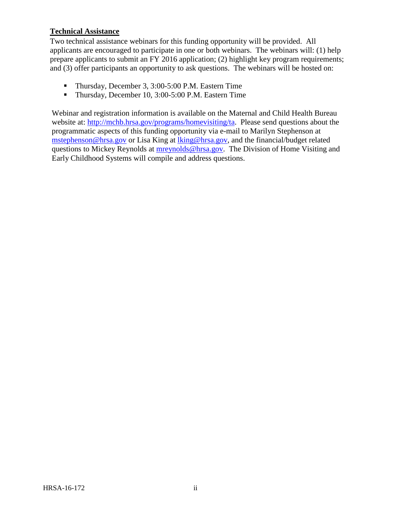#### **Technical Assistance**

Two technical assistance webinars for this funding opportunity will be provided. All applicants are encouraged to participate in one or both webinars. The webinars will: (1) help prepare applicants to submit an FY 2016 application; (2) highlight key program requirements; and (3) offer participants an opportunity to ask questions. The webinars will be hosted on:

- Thursday, December 3, 3:00-5:00 P.M. Eastern Time
- Thursday, December 10, 3:00-5:00 P.M. Eastern Time

Webinar and registration information is available on the Maternal and Child Health Bureau website at: [http://mchb.hrsa.gov/programs/homevisiting/ta.](http://mchb.hrsa.gov/programs/homevisiting/ta) Please send questions about the programmatic aspects of this funding opportunity via e-mail to Marilyn Stephenson at [mstephenson@hrsa.gov](mailto:mstephenson@hrsa.gov) or Lisa King at [lking@hrsa.gov,](mailto:lking@hrsa.gov) and the financial/budget related questions to Mickey Reynolds at [mreynolds@hrsa.gov.](mailto:mreynolds@hrsa.gov) The Division of Home Visiting and Early Childhood Systems will compile and address questions.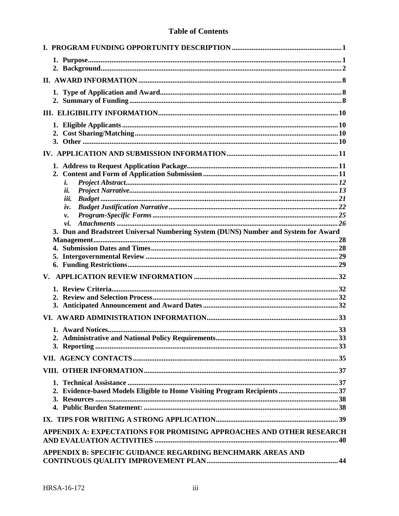|  |  | <b>Table of Contents</b> |
|--|--|--------------------------|
|--|--|--------------------------|

| i.<br>ii.                                                                                  |
|--------------------------------------------------------------------------------------------|
| iii.                                                                                       |
| iv.                                                                                        |
| v.                                                                                         |
| vi.<br>3. Dun and Bradstreet Universal Numbering System (DUNS) Number and System for Award |
|                                                                                            |
|                                                                                            |
|                                                                                            |
|                                                                                            |
|                                                                                            |
|                                                                                            |
|                                                                                            |
|                                                                                            |
|                                                                                            |
|                                                                                            |
|                                                                                            |
|                                                                                            |
|                                                                                            |
|                                                                                            |
| 2. Evidence-based Models Eligible to Home Visiting Program Recipients 37                   |
|                                                                                            |
| APPENDIX A: EXPECTATIONS FOR PROMISING APPROACHES AND OTHER RESEARCH                       |
|                                                                                            |
| APPENDIX B: SPECIFIC GUIDANCE REGARDING BENCHMARK AREAS AND                                |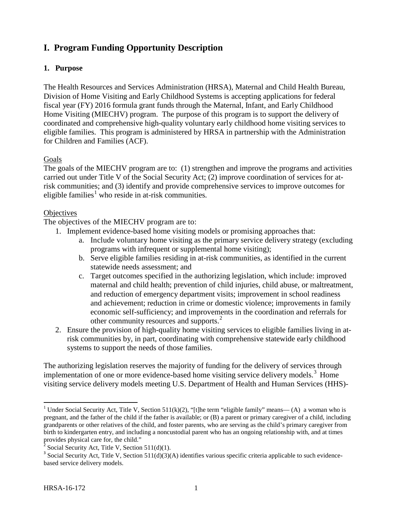# <span id="page-5-0"></span>**I. Program Funding Opportunity Description**

# <span id="page-5-1"></span>**1. Purpose**

The Health Resources and Services Administration (HRSA), Maternal and Child Health Bureau, Division of Home Visiting and Early Childhood Systems is accepting applications for federal fiscal year (FY) 2016 formula grant funds through the Maternal, Infant, and Early Childhood Home Visiting (MIECHV) program. The purpose of this program is to support the delivery of coordinated and comprehensive high-quality voluntary early childhood home visiting services to eligible families. This program is administered by HRSA in partnership with the Administration for Children and Families (ACF).

# Goals

The goals of the MIECHV program are to: (1) strengthen and improve the programs and activities carried out under Title V of the Social Security Act; (2) improve coordination of services for atrisk communities; and (3) identify and provide comprehensive services to improve outcomes for eligible families [1](#page-5-2) who reside in at-risk communities.

# **Objectives**

The objectives of the MIECHV program are to:

- 1. Implement evidence-based home visiting models or promising approaches that:
	- a. Include voluntary home visiting as the primary service delivery strategy (excluding programs with infrequent or supplemental home visiting);
	- b. Serve eligible families residing in at-risk communities, as identified in the current statewide needs assessment; and
	- c. Target outcomes specified in the authorizing legislation, which include: improved maternal and child health; prevention of child injuries, child abuse, or maltreatment, and reduction of emergency department visits; improvement in school readiness and achievement; reduction in crime or domestic violence; improvements in family economic self-sufficiency; and improvements in the coordination and referrals for other community resources and supports.<sup>[2](#page-5-3)</sup>
- 2. Ensure the provision of high-quality home visiting services to eligible families living in atrisk communities by, in part, coordinating with comprehensive statewide early childhood systems to support the needs of those families.

The authorizing legislation reserves the majority of funding for the delivery of services through implementation of one or more evidence-based home visiting service delivery models.<sup>[3](#page-5-4)</sup> Home visiting service delivery models meeting U.S. Department of Health and Human Services (HHS)-

<span id="page-5-2"></span><sup>&</sup>lt;sup>1</sup> Under Social Security Act, Title V, Section 511(k)(2), "[t]he term "eligible family" means— (A) a woman who is pregnant, and the father of the child if the father is available; or (B) a parent or primary caregiver of a child, including grandparents or other relatives of the child, and foster parents, who are serving as the child's primary caregiver from birth to kindergarten entry, and including a noncustodial parent who has an ongoing relationship with, and at times provides physical care for, the child."<br> $2^2$  Social Security Act, Title V, Section 511(d)(1).

<span id="page-5-3"></span>

<span id="page-5-4"></span> $3$  Social Security Act, Title V, Section 511(d)(3)(A) identifies various specific criteria applicable to such evidencebased service delivery models.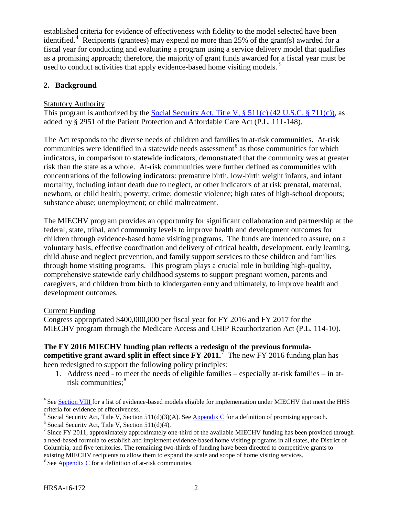established criteria for evidence of effectiveness with fidelity to the model selected have been identified.<sup>[4](#page-6-1)</sup> Recipients (grantees) may expend no more than 25% of the grant(s) awarded for a fiscal year for conducting and evaluating a program using a service delivery model that qualifies as a promising approach; therefore, the majority of grant funds awarded for a fiscal year must be used to conduct activities that apply evidence-based home visiting models.<sup>[5](#page-6-2)</sup>

# <span id="page-6-0"></span>**2. Background**

# **Statutory Authority**

This program is authorized by the [Social Security](http://www.ssa.gov/OP_Home/ssact/title05/0511.htm) Act, Title V,  $\S$  511(c) (42 U.S.C.  $\S$  711(c)), as added by § 2951 of the Patient Protection and Affordable Care Act (P.L. 111-148).

The Act responds to the diverse needs of children and families in at-risk communities. At-risk communities were identified in a statewide needs assessment<sup>[6](#page-6-3)</sup> as those communities for which indicators, in comparison to statewide indicators, demonstrated that the community was at greater risk than the state as a whole. At-risk communities were further defined as communities with concentrations of the following indicators: premature birth, low-birth weight infants, and infant mortality, including infant death due to neglect, or other indicators of at risk prenatal, maternal, newborn, or child health; poverty; crime; domestic violence; high rates of high-school dropouts; substance abuse; unemployment; or child maltreatment.

The MIECHV program provides an opportunity for significant collaboration and partnership at the federal, state, tribal, and community levels to improve health and development outcomes for children through evidence-based home visiting programs. The funds are intended to assure, on a voluntary basis, effective coordination and delivery of critical health, development, early learning, child abuse and neglect prevention, and family support services to these children and families through home visiting programs. This program plays a crucial role in building high-quality, comprehensive statewide early childhood systems to support pregnant women, parents and caregivers, and children from birth to kindergarten entry and ultimately, to improve health and development outcomes.

# Current Funding

Congress appropriated \$400,000,000 per fiscal year for FY 2016 and FY 2017 for the MIECHV program through the Medicare Access and CHIP Reauthorization Act (P.L. 114-10).

#### **The FY 2016 MIECHV funding plan reflects a redesign of the previous formulacompetitive grant award split in effect since FY 2011.**[7](#page-6-4) The new FY 2016 funding plan has been redesigned to support the following policy principles:

1. Address need - to meet the needs of eligible families – especially at-risk families – in atrisk communities; [8](#page-6-5)

<span id="page-6-1"></span><sup>&</sup>lt;sup>4</sup> See [Section](#page-41-2) VIII for a list of evidence-based models eligible for implementation under MIECHV that meet the HHS Frieria for evidence of effectiveness.<br><sup>5</sup> Social Security Act, Title V, Section 511(d)(3)(A). See [Appendix C](#page-50-0) for a definition of promising approach.<br><sup>6</sup> Social Security Act, Title V, Section 511(d)(4).

<span id="page-6-2"></span>

<span id="page-6-4"></span><span id="page-6-3"></span> $<sup>7</sup>$  Since FY 2011, approximately approximately one-third of the available MIECHV funding has been provided through</sup> a need-based formula to establish and implement evidence-based home visiting programs in all states, the District of Columbia, and five territories. The remaining two-thirds of funding have been directed to competitive grants to existing MIECHV recipients to allow them to expand the scale and scope of home visiting services. <sup>8</sup> See [Appendix C](#page-50-0) for a definition of at-risk communities.

<span id="page-6-5"></span>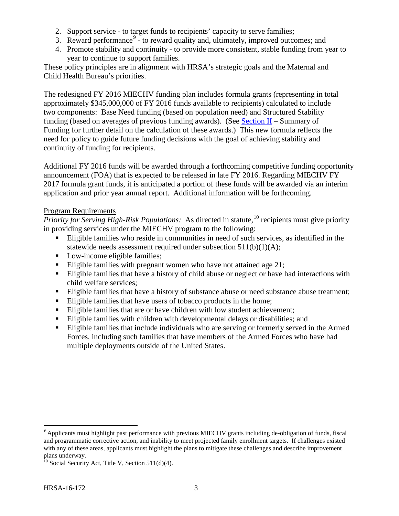- 2. Support service to target funds to recipients' capacity to serve families;
- 3. Reward performance  $9 9 -$  to reward quality and, ultimately, improved outcomes; and
- 4. Promote stability and continuity to provide more consistent, stable funding from year to year to continue to support families.

These policy principles are in alignment with HRSA's strategic goals and the Maternal and Child Health Bureau's priorities.

The redesigned FY 2016 MIECHV funding plan includes formula grants (representing in total approximately \$345,000,000 of FY 2016 funds available to recipients) calculated to include two components: Base Need funding (based on population need) and Structured Stability funding (based on averages of previous funding awards). (See Section  $II$  – Summary of Funding for further detail on the calculation of these awards.) This new formula reflects the need for policy to guide future funding decisions with the goal of achieving stability and continuity of funding for recipients.

Additional FY 2016 funds will be awarded through a forthcoming competitive funding opportunity announcement (FOA) that is expected to be released in late FY 2016. Regarding MIECHV FY 2017 formula grant funds, it is anticipated a portion of these funds will be awarded via an interim application and prior year annual report. Additional information will be forthcoming.

#### Program Requirements

*Priority for Serving High-Risk Populations:* As directed in statute, [10](#page-7-1) recipients must give priority in providing services under the MIECHV program to the following:

- Eligible families who reside in communities in need of such services, as identified in the statewide needs assessment required under subsection 511(b)(1)(A);
- Low-income eligible families;
- Eligible families with pregnant women who have not attained age  $21$ ;
- Eligible families that have a history of child abuse or neglect or have had interactions with child welfare services;
- Eligible families that have a history of substance abuse or need substance abuse treatment;
- Eligible families that have users of tobacco products in the home;
- Eligible families that are or have children with low student achievement;
- Eligible families with children with developmental delays or disabilities; and
- Eligible families that include individuals who are serving or formerly served in the Armed Forces, including such families that have members of the Armed Forces who have had multiple deployments outside of the United States.

<span id="page-7-0"></span><sup>&</sup>lt;sup>9</sup> Applicants must highlight past performance with previous MIECHV grants including de-obligation of funds, fiscal and programmatic corrective action, and inability to meet projected family enrollment targets. If challenges existed with any of these areas, applicants must highlight the plans to mitigate these challenges and describe improvement plans underway.

<span id="page-7-1"></span> $^{10}$  Social Security Act, Title V, Section 511(d)(4).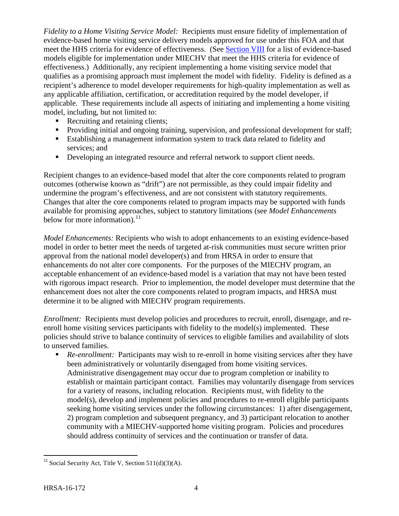*Fidelity to a Home Visiting Service Model:* Recipients must ensure fidelity of implementation of evidence-based home visiting service delivery models approved for use under this FOA and that meet the HHS criteria for evidence of effectiveness. (See [Section VIII](#page-41-2) for a list of evidence-based models eligible for implementation under MIECHV that meet the HHS criteria for evidence of effectiveness.) Additionally, any recipient implementing a home visiting service model that qualifies as a promising approach must implement the model with fidelity. Fidelity is defined as a recipient's adherence to model developer requirements for high-quality implementation as well as any applicable affiliation, certification, or accreditation required by the model developer, if applicable. These requirements include all aspects of initiating and implementing a home visiting model, including, but not limited to:

- Recruiting and retaining clients;
- **Providing initial and ongoing training, supervision, and professional development for staff;**
- Establishing a management information system to track data related to fidelity and services; and
- Developing an integrated resource and referral network to support client needs.

Recipient changes to an evidence-based model that alter the core components related to program outcomes (otherwise known as "drift") are not permissible, as they could impair fidelity and undermine the program's effectiveness, and are not consistent with statutory requirements. Changes that alter the core components related to program impacts may be supported with funds available for promising approaches, subject to statutory limitations (see *Model Enhancements* below for more information).<sup>[11](#page-8-0)</sup>

*Model Enhancements:* Recipients who wish to adopt enhancements to an existing evidence-based model in order to better meet the needs of targeted at-risk communities must secure written prior approval from the national model developer(s) and from HRSA in order to ensure that enhancements do not alter core components. For the purposes of the MIECHV program, an acceptable enhancement of an evidence-based model is a variation that may not have been tested with rigorous impact research. Prior to implemention, the model developer must determine that the enhancement does not alter the core components related to program impacts, and HRSA must determine it to be aligned with MIECHV program requirements.

*Enrollment:* Recipients must develop policies and procedures to recruit, enroll, disengage, and reenroll home visiting services participants with fidelity to the model(s) implemented. These policies should strive to balance continuity of services to eligible families and availability of slots to unserved families.

**Re-enrollment:** Participants may wish to re-enroll in home visiting services after they have been administratively or voluntarily disengaged from home visiting services. Administrative disengagement may occur due to program completion or inability to establish or maintain participant contact. Families may voluntarily disengage from services for a variety of reasons, including relocation. Recipients must, with fidelity to the model(s), develop and implement policies and procedures to re-enroll eligible participants seeking home visiting services under the following circumstances: 1) after disengagement, 2) program completion and subsequent pregnancy, and 3) participant relocation to another community with a MIECHV-supported home visiting program. Policies and procedures should address continuity of services and the continuation or transfer of data.

<span id="page-8-0"></span><sup>&</sup>lt;sup>11</sup> Social Security Act, Title V, Section  $511(d)(3)(A)$ .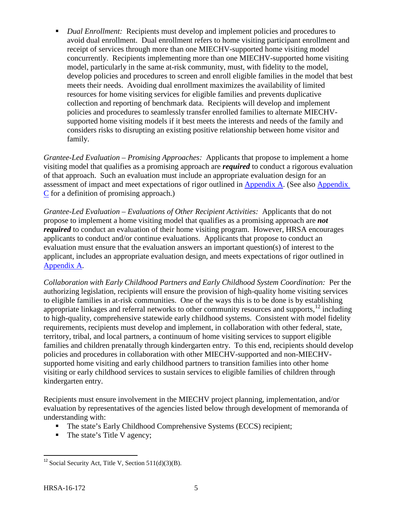■ *Dual Enrollment:* Recipients must develop and implement policies and procedures to avoid dual enrollment. Dual enrollment refers to home visiting participant enrollment and receipt of services through more than one MIECHV-supported home visiting model concurrently. Recipients implementing more than one MIECHV-supported home visiting model, particularly in the same at-risk community, must, with fidelity to the model, develop policies and procedures to screen and enroll eligible families in the model that best meets their needs. Avoiding dual enrollment maximizes the availability of limited resources for home visiting services for eligible families and prevents duplicative collection and reporting of benchmark data. Recipients will develop and implement policies and procedures to seamlessly transfer enrolled families to alternate MIECHVsupported home visiting models if it best meets the interests and needs of the family and considers risks to disrupting an existing positive relationship between home visitor and family.

*Grantee-Led Evaluation – Promising Approaches:* Applicants that propose to implement a home visiting model that qualifies as a promising approach are *required* to conduct a rigorous evaluation of that approach. Such an evaluation must include an appropriate evaluation design for an assessment of impact and meet expectations of rigor outlined in [Appendix A.](#page-44-0) (See also [Appendix](#page-50-0)  [C](#page-50-0) for a definition of promising approach.)

*Grantee-Led Evaluation – Evaluations of Other Recipient Activities:* Applicants that do not propose to implement a home visiting model that qualifies as a promising approach are *not required* to conduct an evaluation of their home visiting program. However, HRSA encourages applicants to conduct and/or continue evaluations. Applicants that propose to conduct an evaluation must ensure that the evaluation answers an important question(s) of interest to the applicant, includes an appropriate evaluation design, and meets expectations of rigor outlined in [Appendix A.](#page-44-0)

*Collaboration with Early Childhood Partners and Early Childhood System Coordination:* Per the authorizing legislation, recipients will ensure the provision of high-quality home visiting services to eligible families in at-risk communities. One of the ways this is to be done is by establishing appropriate linkages and referral networks to other community resources and supports,<sup>[12](#page-9-0)</sup> including to high-quality, comprehensive statewide early childhood systems. Consistent with model fidelity requirements*,* recipients must develop and implement, in collaboration with other federal, state, territory, tribal, and local partners, a continuum of home visiting services to support eligible families and children prenatally through kindergarten entry. To this end, recipients should develop policies and procedures in collaboration with other MIECHV-supported and non-MIECHVsupported home visiting and early childhood partners to transition families into other home visiting or early childhood services to sustain services to eligible families of children through kindergarten entry.

Recipients must ensure involvement in the MIECHV project planning, implementation, and/or evaluation by representatives of the agencies listed below through development of memoranda of understanding with:

- The state's Early Childhood Comprehensive Systems (ECCS) recipient;
- The state's Title V agency;

<span id="page-9-0"></span><sup>&</sup>lt;sup>12</sup> Social Security Act, Title V, Section  $511(d)(3)(B)$ .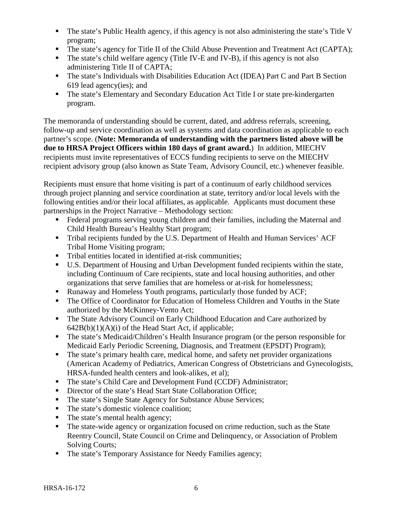- The state's Public Health agency, if this agency is not also administering the state's Title V program;
- The state's agency for Title II of the Child Abuse Prevention and Treatment Act (CAPTA);
- The state's child welfare agency (Title IV-E and IV-B), if this agency is not also administering Title II of CAPTA;
- The state's Individuals with Disabilities Education Act (IDEA) Part C and Part B Section 619 lead agency(ies); and
- The state's Elementary and Secondary Education Act Title I or state pre-kindergarten program.

The memoranda of understanding should be current, dated, and address referrals, screening, follow-up and service coordination as well as systems and data coordination as applicable to each partner's scope. (**Note: Memoranda of understanding with the partners listed above will be due to HRSA Project Officers within 180 days of grant award.**) In addition, MIECHV recipients must invite representatives of ECCS funding recipients to serve on the MIECHV recipient advisory group (also known as State Team, Advisory Council, etc.) whenever feasible.

Recipients must ensure that home visiting is part of a continuum of early childhood services through project planning and service coordination at state, territory and/or local levels with the following entities and/or their local affiliates, as applicable. Applicants must document these partnerships in the Project Narrative – Methodology section:

- Federal programs serving young children and their families, including the Maternal and Child Health Bureau's Healthy Start program;
- Tribal recipients funded by the U.S. Department of Health and Human Services' ACF Tribal Home Visiting program;
- Tribal entities located in identified at-risk communities;
- U.S. Department of Housing and Urban Development funded recipients within the state, including Continuum of Care recipients, state and local housing authorities, and other organizations that serve families that are homeless or at-risk for homelessness;
- Runaway and Homeless Youth programs, particularly those funded by ACF;
- The Office of Coordinator for Education of Homeless Children and Youths in the State authorized by the McKinney-Vento Act;
- The State Advisory Council on Early Childhood Education and Care authorized by  $642B(b)(1)(A)(i)$  of the Head Start Act, if applicable;
- The state's Medicaid/Children's Health Insurance program (or the person responsible for Medicaid Early Periodic Screening, Diagnosis, and Treatment (EPSDT) Program);
- The state's primary health care, medical home, and safety net provider organizations (American Academy of Pediatrics, American Congress of Obstetricians and Gynecologists, HRSA-funded health centers and look-alikes, et al);
- The state's Child Care and Development Fund (CCDF) Administrator;
- Director of the state's Head Start State Collaboration Office;
- The state's Single State Agency for Substance Abuse Services;
- The state's domestic violence coalition;
- The state's mental health agency;
- The state-wide agency or organization focused on crime reduction, such as the State Reentry Council, State Council on Crime and Delinquency, or Association of Problem Solving Courts;
- The state's Temporary Assistance for Needy Families agency;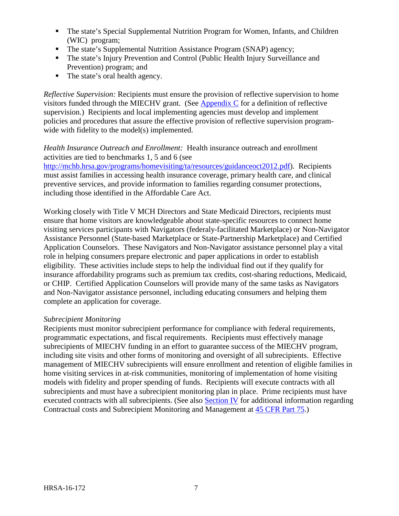- The state's Special Supplemental Nutrition Program for Women, Infants, and Children (WIC) program;
- The state's Supplemental Nutrition Assistance Program (SNAP) agency;
- The state's Injury Prevention and Control (Public Health Injury Surveillance and Prevention) program; and
- The state's oral health agency.

*Reflective Supervision:* Recipients must ensure the provision of reflective supervision to home visitors funded through the MIECHV grant. (See Appendix  $C$  for a definition of reflective supervision.) Recipients and local implementing agencies must develop and implement policies and procedures that assure the effective provision of reflective supervision programwide with fidelity to the model(s) implemented.

*Health Insurance Outreach and Enrollment:* Health insurance outreach and enrollment activities are tied to benchmarks 1, 5 and 6 (see

[http://mchb.hrsa.gov/programs/homevisiting/ta/resources/guidanceoct2012.pdf\)](http://mchb.hrsa.gov/programs/homevisiting/ta/resources/guidanceoct2012.pdf). Recipients must assist families in accessing health insurance coverage, primary health care, and clinical preventive services, and provide information to families regarding consumer protections, including those identified in the Affordable Care Act.

Working closely with Title V MCH Directors and State Medicaid Directors, recipients must ensure that home visitors are knowledgeable about state-specific resources to connect home visiting services participants with Navigators (federaly-facilitated Marketplace) or Non-Navigator Assistance Personnel (State-based Marketplace or State-Partnership Marketplace) and Certified Application Counselors. These Navigators and Non-Navigator assistance personnel play a vital role in helping consumers prepare electronic and paper applications in order to establish eligibility. These activities include steps to help the individual find out if they qualify for insurance affordability programs such as premium tax credits, cost-sharing reductions, Medicaid, or CHIP. Certified Application Counselors will provide many of the same tasks as Navigators and Non-Navigator assistance personnel, including educating consumers and helping them complete an application for coverage.

#### *Subrecipient Monitoring*

Recipients must monitor subrecipient performance for compliance with federal requirements, programmatic expectations, and fiscal requirements. Recipients must effectively manage subrecipients of MIECHV funding in an effort to guarantee success of the MIECHV program, including site visits and other forms of monitoring and oversight of all subrecipients. Effective management of MIECHV subrecipients will ensure enrollment and retention of eligible families in home visiting services in at-risk communities, monitoring of implementation of home visiting models with fidelity and proper spending of funds. Recipients will execute contracts with all subrecipients and must have a subrecipient monitoring plan in place. Prime recipients must have executed contracts with all subrecipients. (See also **Section IV** for additional information regarding Contractual costs and Subrecipient Monitoring and Management at [45 CFR](http://www.ecfr.gov/cgi-bin/retrieveECFR?gp=1&SID=4d52364ec83fab994c665943dadf9cf7&ty=HTML&h=L&r=PART&n=pt45.1.75) Part 75.)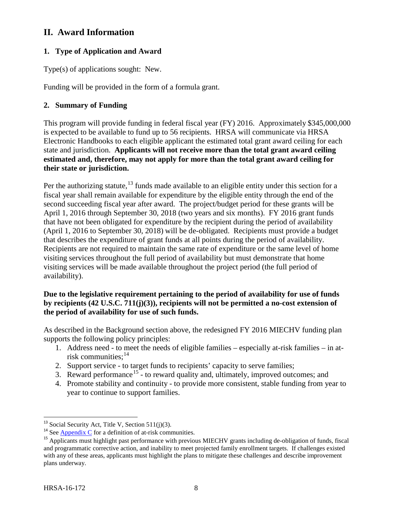# <span id="page-12-0"></span>**II. Award Information**

# <span id="page-12-1"></span>**1. Type of Application and Award**

Type(s) of applications sought: New.

Funding will be provided in the form of a formula grant.

# <span id="page-12-2"></span>**2. Summary of Funding**

This program will provide funding in federal fiscal year (FY) 2016. Approximately \$345,000,000 is expected to be available to fund up to 56 recipients. HRSA will communicate via HRSA Electronic Handbooks to each eligible applicant the estimated total grant award ceiling for each state and jurisdiction. **Applicants will not receive more than the total grant award ceiling estimated and, therefore, may not apply for more than the total grant award ceiling for their state or jurisdiction.**

Per the authorizing statute,<sup>[13](#page-12-3)</sup> funds made available to an eligible entity under this section for a fiscal year shall remain available for expenditure by the eligible entity through the end of the second succeeding fiscal year after award. The project/budget period for these grants will be April 1, 2016 through September 30, 2018 (two years and six months). FY 2016 grant funds that have not been obligated for expenditure by the recipient during the period of availability (April 1, 2016 to September 30, 2018) will be de-obligated. Recipients must provide a budget that describes the expenditure of grant funds at all points during the period of availability. Recipients are not required to maintain the same rate of expenditure or the same level of home visiting services throughout the full period of availability but must demonstrate that home visiting services will be made available throughout the project period (the full period of availability).

# **Due to the legislative requirement pertaining to the period of availability for use of funds by recipients (42 U.S.C. 711(j)(3)), recipients will not be permitted a no-cost extension of the period of availability for use of such funds.**

As described in the Background section above, the redesigned FY 2016 MIECHV funding plan supports the following policy principles:

- 1. Address need to meet the needs of eligible families especially at-risk families in atrisk communities; [14](#page-12-4)
- 2. Support service to target funds to recipients' capacity to serve families;
- 3. Reward performance<sup>[15](#page-12-5)</sup> to reward quality and, ultimately, improved outcomes; and
- 4. Promote stability and continuity to provide more consistent, stable funding from year to year to continue to support families.

<span id="page-12-5"></span><span id="page-12-4"></span>

<span id="page-12-3"></span><sup>&</sup>lt;sup>13</sup> Social Security Act, Title V, Section 511(j)(3).<br><sup>14</sup> See [Appendix C](#page-50-0) for a definition of at-risk communities.<br><sup>15</sup> Applicants must highlight past performance with previous MIECHV grants including de-obligation of fun and programmatic corrective action, and inability to meet projected family enrollment targets. If challenges existed with any of these areas, applicants must highlight the plans to mitigate these challenges and describe improvement plans underway.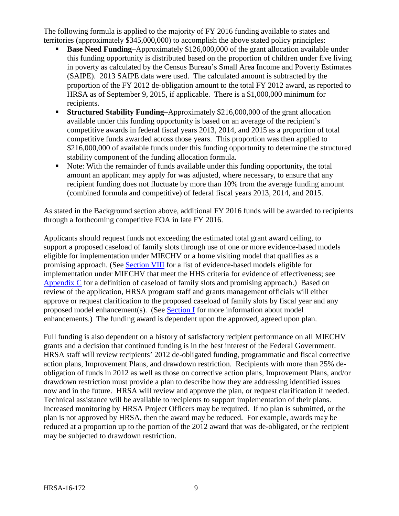The following formula is applied to the majority of FY 2016 funding available to states and territories (approximately \$345,000,000) to accomplish the above stated policy principles:

- **Base Need Funding–**Approximately \$126,000,000 of the grant allocation available under this funding opportunity is distributed based on the proportion of children under five living in poverty as calculated by the Census Bureau's Small Area Income and Poverty Estimates (SAIPE). 2013 SAIPE data were used. The calculated amount is subtracted by the proportion of the FY 2012 de-obligation amount to the total FY 2012 award, as reported to HRSA as of September 9, 2015, if applicable. There is a \$1,000,000 minimum for recipients.
- **Structured Stability Funding–**Approximately \$216,000,000 of the grant allocation available under this funding opportunity is based on an average of the recipient's competitive awards in federal fiscal years 2013, 2014, and 2015 as a proportion of total competitive funds awarded across those years. This proportion was then applied to \$216,000,000 of available funds under this funding opportunity to determine the structured stability component of the funding allocation formula.
- Note: With the remainder of funds available under this funding opportunity, the total amount an applicant may apply for was adjusted, where necessary, to ensure that any recipient funding does not fluctuate by more than 10% from the average funding amount (combined formula and competitive) of federal fiscal years 2013, 2014, and 2015.

As stated in the Background section above, additional FY 2016 funds will be awarded to recipients through a forthcoming competitive FOA in late FY 2016.

Applicants should request funds not exceeding the estimated total grant award ceiling, to support a proposed caseload of family slots through use of one or more evidence-based models eligible for implementation under MIECHV or a home visiting model that qualifies as a promising approach. (See [Section VIII](#page-41-2) for a list of evidence-based models eligible for implementation under MIECHV that meet the HHS criteria for evidence of effectiveness; see [Appendix C](#page-50-0) for a definition of caseload of family slots and promising approach.) Based on review of the application, HRSA program staff and grants management officials will either approve or request clarification to the proposed caseload of family slots by fiscal year and any proposed model enhancement(s). (See [Section I](#page-6-0) for more information about model enhancements.) The funding award is dependent upon the approved, agreed upon plan.

Full funding is also dependent on a history of satisfactory recipient performance on all MIECHV grants and a decision that continued funding is in the best interest of the Federal Government. HRSA staff will review recipients' 2012 de-obligated funding, programmatic and fiscal corrective action plans, Improvement Plans, and drawdown restriction. Recipients with more than 25% deobligation of funds in 2012 as well as those on corrective action plans, Improvement Plans, and/or drawdown restriction must provide a plan to describe how they are addressing identified issues now and in the future. HRSA will review and approve the plan, or request clarification if needed. Technical assistance will be available to recipients to support implementation of their plans. Increased monitoring by HRSA Project Officers may be required. If no plan is submitted, or the plan is not approved by HRSA, then the award may be reduced. For example, awards may be reduced at a proportion up to the portion of the 2012 award that was de-obligated, or the recipient may be subjected to drawdown restriction.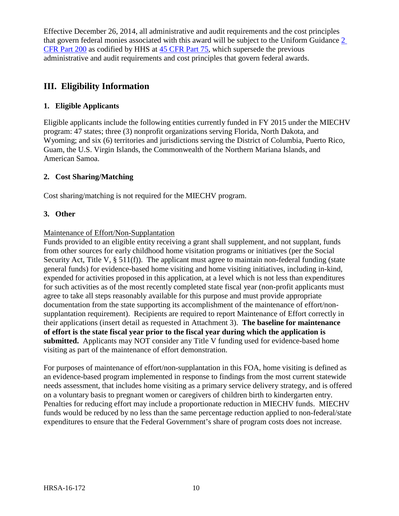Effective December 26, 2014, all administrative and audit requirements and the cost principles that govern federal monies associated with this award will be subject to the Uniform Guidance [2](http://www.ecfr.gov/cgi-bin/text-idx?tpl=/ecfrbrowse/Title02/2cfr200_main_02.tpl)  [CFR Part 200](http://www.ecfr.gov/cgi-bin/text-idx?tpl=/ecfrbrowse/Title02/2cfr200_main_02.tpl) as codified by HHS at [45 CFR Part 75,](http://www.ecfr.gov/cgi-bin/retrieveECFR?gp=1&SID=4d52364ec83fab994c665943dadf9cf7&ty=HTML&h=L&r=PART&n=pt45.1.75) which supersede the previous administrative and audit requirements and cost principles that govern federal awards.

# <span id="page-14-1"></span>**III. Eligibility Information**

# <span id="page-14-2"></span>**1. Eligible Applicants**

Eligible applicants include the following entities currently funded in FY 2015 under the MIECHV program: 47 states; three (3) nonprofit organizations serving Florida, North Dakota, and Wyoming; and six (6) territories and jurisdictions serving the District of Columbia, Puerto Rico, Guam, the U.S. Virgin Islands, the Commonwealth of the Northern Mariana Islands, and American Samoa.

# <span id="page-14-3"></span>**2. Cost Sharing/Matching**

Cost sharing/matching is not required for the MIECHV program.

# <span id="page-14-0"></span>**3. Other**

# Maintenance of Effort/Non-Supplantation

Funds provided to an eligible entity receiving a grant shall supplement, and not supplant, funds from other sources for early childhood home visitation programs or initiatives (per the Social Security Act, Title V, § 511(f)). The applicant must agree to maintain non-federal funding (state general funds) for evidence-based home visiting and home visiting initiatives, including in-kind, expended for activities proposed in this application, at a level which is not less than expenditures for such activities as of the most recently completed state fiscal year (non-profit applicants must agree to take all steps reasonably available for this purpose and must provide appropriate documentation from the state supporting its accomplishment of the maintenance of effort/nonsupplantation requirement). Recipients are required to report Maintenance of Effort correctly in their applications (insert detail as requested in Attachment 3). **The baseline for maintenance of effort is the state fiscal year prior to the fiscal year during which the application is submitted.** Applicants may NOT consider any Title V funding used for evidence-based home visiting as part of the maintenance of effort demonstration.

For purposes of maintenance of effort/non-supplantation in this FOA, home visiting is defined as an evidence-based program implemented in response to findings from the most current statewide needs assessment, that includes home visiting as a primary service delivery strategy, and is offered on a voluntary basis to pregnant women or caregivers of children birth to kindergarten entry. Penalties for reducing effort may include a proportionate reduction in MIECHV funds. MIECHV funds would be reduced by no less than the same percentage reduction applied to non-federal/state expenditures to ensure that the Federal Government's share of program costs does not increase.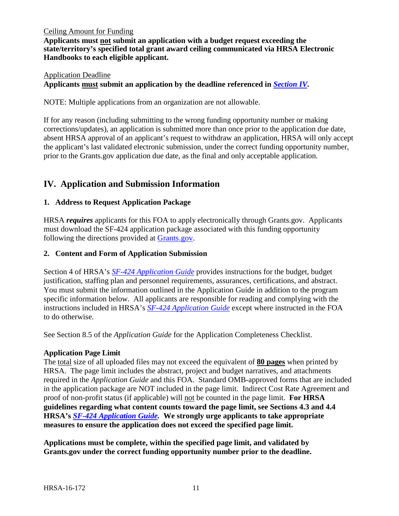#### Ceiling Amount for Funding

**Applicants must not submit an application with a budget request exceeding the state/territory's specified total grant award ceiling communicated via HRSA Electronic Handbooks to each eligible applicant.**

#### Application Deadline **Applicants must submit an application by the deadline referenced in** *[Section IV](#page-32-1)***.**

NOTE: Multiple applications from an organization are not allowable.

If for any reason (including submitting to the wrong funding opportunity number or making corrections/updates), an application is submitted more than once prior to the application due date, absent HRSA approval of an applicant's request to withdraw an application, HRSA will only accept the applicant's last validated electronic submission, under the correct funding opportunity number, prior to the Grants.gov application due date, as the final and only acceptable application.

# <span id="page-15-0"></span>**IV. Application and Submission Information**

# <span id="page-15-1"></span>**1. Address to Request Application Package**

HRSA *requires* applicants for this FOA to apply electronically through Grants.gov. Applicants must download the SF-424 application package associated with this funding opportunity following the directions provided at [Grants.gov.](http://grants.nih.gov/grants/guide/url_redirect.htm?id=11127)

#### <span id="page-15-2"></span>**2. Content and Form of Application Submission**

Section 4 of HRSA's *[SF-424 Application Guide](http://www.hrsa.gov/grants/apply/applicationguide/sf424guide.pdf)* provides instructions for the budget, budget justification, staffing plan and personnel requirements, assurances, certifications, and abstract. You must submit the information outlined in the Application Guide in addition to the program specific information below. All applicants are responsible for reading and complying with the instructions included in HRSA's *[SF-424 Application Guide](http://www.hrsa.gov/grants/apply/applicationguide/sf424guide.pdf)* except where instructed in the FOA to do otherwise.

See Section 8.5 of the *Application Guide* for the Application Completeness Checklist.

# **Application Page Limit**

The total size of all uploaded files may not exceed the equivalent of **80 pages** when printed by HRSA. The page limit includes the abstract, project and budget narratives, and attachments required in the *Application Guide* and this FOA. Standard OMB-approved forms that are included in the application package are NOT included in the page limit. Indirect Cost Rate Agreement and proof of non-profit status (if applicable) will not be counted in the page limit. **For HRSA guidelines regarding what content counts toward the page limit, see Sections 4.3 and 4.4 HRSA's** *SF-424 [Application Guide.](http://www.hrsa.gov/grants/apply/applicationguide/sf424guide.pdf)* **We strongly urge applicants to take appropriate measures to ensure the application does not exceed the specified page limit.**

**Applications must be complete, within the specified page limit, and validated by Grants.gov under the correct funding opportunity number prior to the deadline.**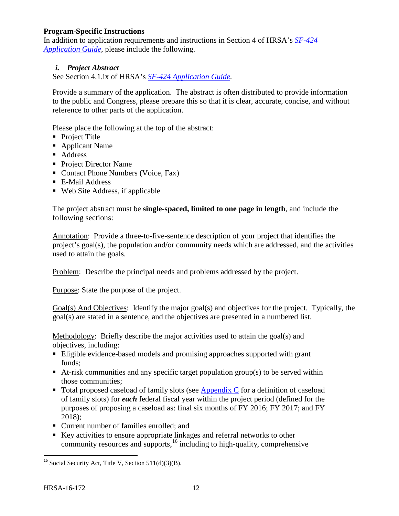# **Program-Specific Instructions**

In addition to application requirements and instructions in Section 4 of HRSA's *[SF-424](http://www.hrsa.gov/grants/apply/applicationguide/sf424guide.pdf) [Application Guide](http://www.hrsa.gov/grants/apply/applicationguide/sf424guide.pdf)*, please include the following.

#### <span id="page-16-0"></span>*i. Project Abstract*

See Section 4.1.ix of HRSA's *SF-424 [Application Guide.](http://www.hrsa.gov/grants/apply/applicationguide/sf424guide.pdf)*

Provide a summary of the application. The abstract is often distributed to provide information to the public and Congress, please prepare this so that it is clear, accurate, concise, and without reference to other parts of the application.

Please place the following at the top of the abstract:

- Project Title
- Applicant Name
- **Address**
- Project Director Name
- Contact Phone Numbers (Voice, Fax)
- E-Mail Address
- Web Site Address, if applicable

The project abstract must be **single-spaced, limited to one page in length**, and include the following sections:

Annotation: Provide a three-to-five-sentence description of your project that identifies the project's goal(s), the population and/or community needs which are addressed, and the activities used to attain the goals.

Problem: Describe the principal needs and problems addressed by the project.

Purpose: State the purpose of the project.

Goal(s) And Objectives: Identify the major goal(s) and objectives for the project. Typically, the goal(s) are stated in a sentence, and the objectives are presented in a numbered list.

Methodology: Briefly describe the major activities used to attain the goal(s) and objectives, including:

- Eligible evidence-based models and promising approaches supported with grant funds;
- At-risk communities and any specific target population group(s) to be served within those communities;
- Total proposed caseload of family slots (see [Appendix C](#page-50-0) for a definition of caseload of family slots) for *each* federal fiscal year within the project period (defined for the purposes of proposing a caseload as: final six months of FY 2016; FY 2017; and FY 2018);
- Current number of families enrolled; and
- Key activities to ensure appropriate linkages and referral networks to other community resources and supports, $16$  including to high-quality, comprehensive

<span id="page-16-1"></span><sup>&</sup>lt;sup>16</sup> Social Security Act, Title V, Section  $511(d)(3)(B)$ .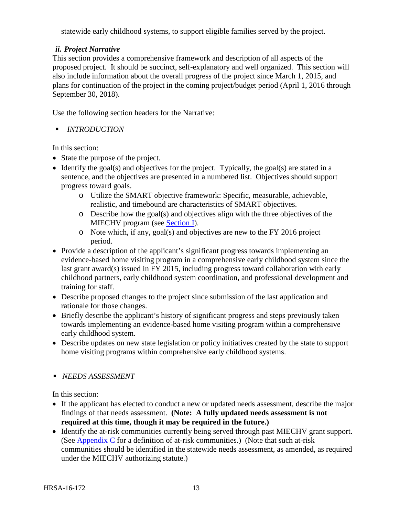statewide early childhood systems, to support eligible families served by the project.

# <span id="page-17-0"></span>*ii. Project Narrative*

This section provides a comprehensive framework and description of all aspects of the proposed project. It should be succinct, self-explanatory and well organized. This section will also include information about the overall progress of the project since March 1, 2015, and plans for continuation of the project in the coming project/budget period (April 1, 2016 through September 30, 2018).

Use the following section headers for the Narrative:

*INTRODUCTION*

In this section:

- State the purpose of the project.
- Identify the goal(s) and objectives for the project. Typically, the goal(s) are stated in a sentence, and the objectives are presented in a numbered list. Objectives should support progress toward goals.
	- o Utilize the SMART objective framework: Specific, measurable, achievable, realistic, and timebound are characteristics of SMART objectives.
	- o Describe how the goal(s) and objectives align with the three objectives of the MIECHV program (see [Section I\)](#page-5-1).
	- o Note which, if any, goal(s) and objectives are new to the FY 2016 project period.
- Provide a description of the applicant's significant progress towards implementing an evidence-based home visiting program in a comprehensive early childhood system since the last grant award(s) issued in FY 2015, including progress toward collaboration with early childhood partners, early childhood system coordination, and professional development and training for staff.
- Describe proposed changes to the project since submission of the last application and rationale for those changes.
- Briefly describe the applicant's history of significant progress and steps previously taken towards implementing an evidence-based home visiting program within a comprehensive early childhood system.
- Describe updates on new state legislation or policy initiatives created by the state to support home visiting programs within comprehensive early childhood systems.

# *NEEDS ASSESSMENT*

In this section:

- If the applicant has elected to conduct a new or updated needs assessment, describe the major findings of that needs assessment. **(Note: A fully updated needs assessment is not required at this time, though it may be required in the future.)**
- Identify the at-risk communities currently being served through past MIECHV grant support. (See [Appendix C](#page-50-0) for a definition of at-risk communities.) (Note that such at-risk communities should be identified in the statewide needs assessment, as amended, as required under the MIECHV authorizing statute.)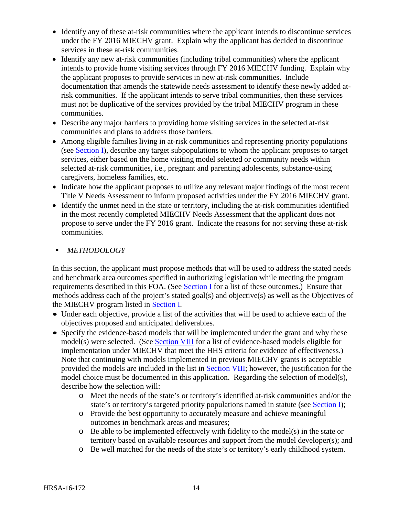- Identify any of these at-risk communities where the applicant intends to discontinue services under the FY 2016 MIECHV grant. Explain why the applicant has decided to discontinue services in these at-risk communities.
- Identify any new at-risk communities (including tribal communities) where the applicant intends to provide home visiting services through FY 2016 MIECHV funding. Explain why the applicant proposes to provide services in new at-risk communities. Include documentation that amends the statewide needs assessment to identify these newly added atrisk communities. If the applicant intends to serve tribal communities, then these services must not be duplicative of the services provided by the tribal MIECHV program in these communities.
- Describe any major barriers to providing home visiting services in the selected at-risk communities and plans to address those barriers.
- Among eligible families living in at-risk communities and representing priority populations (see **Section I**), describe any target subpopulations to whom the applicant proposes to target services, either based on the home visiting model selected or community needs within selected at-risk communities, i.e., pregnant and parenting adolescents, substance-using caregivers, homeless families, etc.
- Indicate how the applicant proposes to utilize any relevant major findings of the most recent Title V Needs Assessment to inform proposed activities under the FY 2016 MIECHV grant.
- Identify the unmet need in the state or territory, including the at-risk communities identified in the most recently completed MIECHV Needs Assessment that the applicant does not propose to serve under the FY 2016 grant. Indicate the reasons for not serving these at-risk communities.
- *METHODOLOGY*

In this section, the applicant must propose methods that will be used to address the stated needs and benchmark area outcomes specified in authorizing legislation while meeting the program requirements described in this FOA. (See [Section I](#page-5-0) for a list of these outcomes.) Ensure that methods address each of the project's stated goal(s) and objective(s) as well as the Objectives of the MIECHV program listed in [Section I.](#page-5-1)

- Under each objective, provide a list of the activities that will be used to achieve each of the objectives proposed and anticipated deliverables.
- Specify the evidence-based models that will be implemented under the grant and why these model(s) were selected. (See [Section VIII](#page-41-2) for a list of evidence-based models eligible for implementation under MIECHV that meet the HHS criteria for evidence of effectiveness.) Note that continuing with models implemented in previous MIECHV grants is acceptable provided the models are included in the list in [Section VIII;](#page-41-2) however, the justification for the model choice must be documented in this application. Regarding the selection of model(s), describe how the selection will:
	- o Meet the needs of the state's or territory's identified at-risk communities and/or the state's or territory's targeted priority populations named in statute (see [Section I\)](#page-6-0);
	- o Provide the best opportunity to accurately measure and achieve meaningful outcomes in benchmark areas and measures;
	- o Be able to be implemented effectively with fidelity to the model(s) in the state or territory based on available resources and support from the model developer(s); and
	- o Be well matched for the needs of the state's or territory's early childhood system.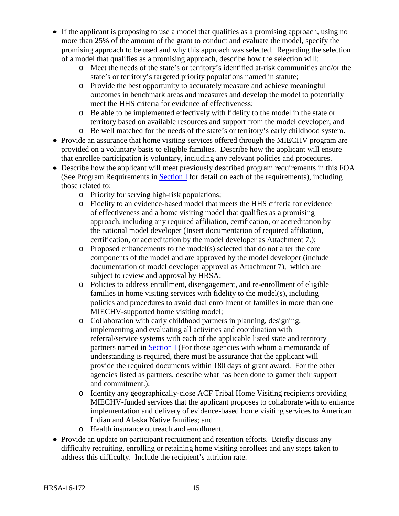- If the applicant is proposing to use a model that qualifies as a promising approach, using no more than 25% of the amount of the grant to conduct and evaluate the model, specify the promising approach to be used and why this approach was selected. Regarding the selection of a model that qualifies as a promising approach, describe how the selection will:
	- o Meet the needs of the state's or territory's identified at-risk communities and/or the state's or territory's targeted priority populations named in statute;
	- o Provide the best opportunity to accurately measure and achieve meaningful outcomes in benchmark areas and measures and develop the model to potentially meet the HHS criteria for evidence of effectiveness;
	- o Be able to be implemented effectively with fidelity to the model in the state or territory based on available resources and support from the model developer; and
	- o Be well matched for the needs of the state's or territory's early childhood system.
- Provide an assurance that home visiting services offered through the MIECHV program are provided on a voluntary basis to eligible families. Describe how the applicant will ensure that enrollee participation is voluntary, including any relevant policies and procedures.
- Describe how the applicant will meet previously described program requirements in this FOA (See Program Requirements in [Section I](#page-6-0) for detail on each of the requirements), including those related to:
	- o Priority for serving high-risk populations;
	- o Fidelity to an evidence-based model that meets the HHS criteria for evidence of effectiveness and a home visiting model that qualifies as a promising approach, including any required affiliation, certification, or accreditation by the national model developer (Insert documentation of required affiliation, certification, or accreditation by the model developer as Attachment 7.);
	- o Proposed enhancements to the model(s) selected that do not alter the core components of the model and are approved by the model developer (include documentation of model developer approval as Attachment 7), which are subject to review and approval by HRSA;
	- o Policies to address enrollment, disengagement, and re-enrollment of eligible families in home visiting services with fidelity to the model(s), including policies and procedures to avoid dual enrollment of families in more than one MIECHV-supported home visiting model;
	- o Collaboration with early childhood partners in planning, designing, implementing and evaluating all activities and coordination with referral/service systems with each of the applicable listed state and territory partners named in [Section I](#page-6-0) (For those agencies with whom a memoranda of understanding is required, there must be assurance that the applicant will provide the required documents within 180 days of grant award. For the other agencies listed as partners, describe what has been done to garner their support and commitment.);
	- o Identify any geographically-close ACF Tribal Home Visiting recipients providing MIECHV-funded services that the applicant proposes to collaborate with to enhance implementation and delivery of evidence-based home visiting services to American Indian and Alaska Native families; and
	- o Health insurance outreach and enrollment.
- Provide an update on participant recruitment and retention efforts. Briefly discuss any difficulty recruiting, enrolling or retaining home visiting enrollees and any steps taken to address this difficulty. Include the recipient's attrition rate.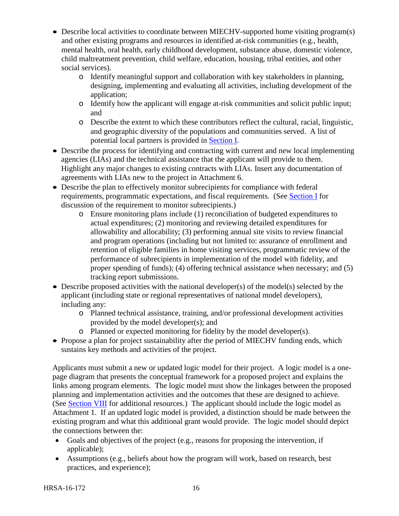- Describe local activities to coordinate between MIECHV-supported home visiting program(s) and other existing programs and resources in identified at-risk communities (e.g., health, mental health, oral health, early childhood development, substance abuse, domestic violence, child maltreatment prevention, child welfare, education, housing, tribal entities, and other social services).
	- o Identify meaningful support and collaboration with key stakeholders in planning, designing, implementing and evaluating all activities, including development of the application;
	- o Identify how the applicant will engage at-risk communities and solicit public input; and
	- o Describe the extent to which these contributors reflect the cultural, racial, linguistic, and geographic diversity of the populations and communities served. A list of potential local partners is provided in [Section I.](#page-6-0)
- Describe the process for identifying and contracting with current and new local implementing agencies (LIAs) and the technical assistance that the applicant will provide to them. Highlight any major changes to existing contracts with LIAs. Insert any documentation of agreements with LIAs new to the project in Attachment 6.
- Describe the plan to effectively monitor subrecipients for compliance with federal requirements, programmatic expectations, and fiscal requirements. (See [Section I](#page-6-0) for discussion of the requirement to monitor subrecipients.)
	- o Ensure monitoring plans include (1) reconciliation of budgeted expenditures to actual expenditures; (2) monitoring and reviewing detailed expenditures for allowability and allocability; (3) performing annual site visits to review financial and program operations (including but not limited to: assurance of enrollment and retention of eligible families in home visiting services, programmatic review of the performance of subrecipients in implementation of the model with fidelity, and proper spending of funds); (4) offering technical assistance when necessary; and (5) tracking report submissions.
- Describe proposed activities with the national developer(s) of the model(s) selected by the applicant (including state or regional representatives of national model developers), including any:
	- o Planned technical assistance, training, and/or professional development activities provided by the model developer(s); and
	- o Planned or expected monitoring for fidelity by the model developer(s).
- Propose a plan for project sustainability after the period of MIECHV funding ends, which sustains key methods and activities of the project.

Applicants must submit a new or updated logic model for their project. A logic model is a onepage diagram that presents the conceptual framework for a proposed project and explains the links among program elements. The logic model must show the linkages between the proposed planning and implementation activities and the outcomes that these are designed to achieve. (See [Section VIII](#page-42-0) for additional resources.) The applicant should include the logic model as Attachment 1. If an updated logic model is provided, a distinction should be made between the existing program and what this additional grant would provide. The logic model should depict the connections between the:

- Goals and objectives of the project (e.g., reasons for proposing the intervention, if applicable):
- Assumptions (e.g., beliefs about how the program will work, based on research, best practices, and experience);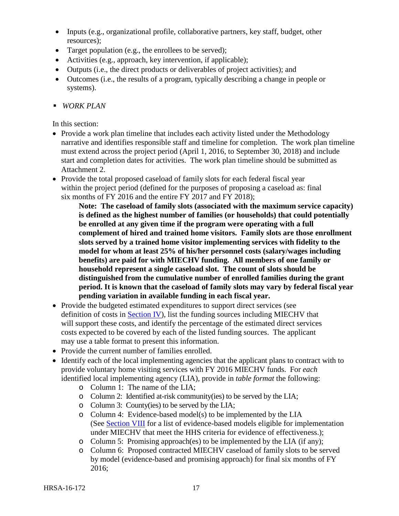- Inputs (e.g., organizational profile, collaborative partners, key staff, budget, other resources);
- Target population (e.g., the enrollees to be served);
- Activities (e.g., approach, key intervention, if applicable);
- Outputs (i.e., the direct products or deliverables of project activities); and
- Outcomes (i.e., the results of a program, typically describing a change in people or systems).
- *WORK PLAN*

In this section:

- Provide a work plan timeline that includes each activity listed under the Methodology narrative and identifies responsible staff and timeline for completion. The work plan timeline must extend across the project period (April 1, 2016, to September 30, 2018) and include start and completion dates for activities. The work plan timeline should be submitted as Attachment 2.
- Provide the total proposed caseload of family slots for each federal fiscal year within the project period (defined for the purposes of proposing a caseload as: final six months of FY 2016 and the entire FY 2017 and FY 2018);

**Note: The caseload of family slots (associated with the maximum service capacity) is defined as the highest number of families (or households) that could potentially be enrolled at any given time if the program were operating with a full complement of hired and trained home visitors. Family slots are those enrollment slots served by a trained home visitor implementing services with fidelity to the model for whom at least 25% of his/her personnel costs (salary/wages including benefits) are paid for with MIECHV funding. All members of one family or household represent a single caseload slot. The count of slots should be distinguished from the cumulative number of enrolled families during the grant period. It is known that the caseload of family slots may vary by federal fiscal year pending variation in available funding in each fiscal year.**

- Provide the budgeted estimated expenditures to support direct services (see definition of costs in [Section IV\)](#page-33-1), list the funding sources including MIECHV that will support these costs, and identify the percentage of the estimated direct services costs expected to be covered by each of the listed funding sources. The applicant may use a table format to present this information.
- Provide the current number of families enrolled.
- Identify each of the local implementing agencies that the applicant plans to contract with to provide voluntary home visiting services with FY 2016 MIECHV funds. For *each* identified local implementing agency (LIA), provide in *table format* the following:
	- o Column 1: The name of the LIA;
	- o Column 2: Identified at-risk community(ies) to be served by the LIA;
	- o Column 3: County(ies) to be served by the LIA;
	- o Column 4: Evidence-based model(s) to be implemented by the LIA (See [Section VIII](#page-41-2) for a list of evidence-based models eligible for implementation under MIECHV that meet the HHS criteria for evidence of effectiveness.);
	- o Column 5: Promising approach(es) to be implemented by the LIA (if any);
	- o Column 6: Proposed contracted MIECHV caseload of family slots to be served by model (evidence-based and promising approach) for final six months of FY 2016;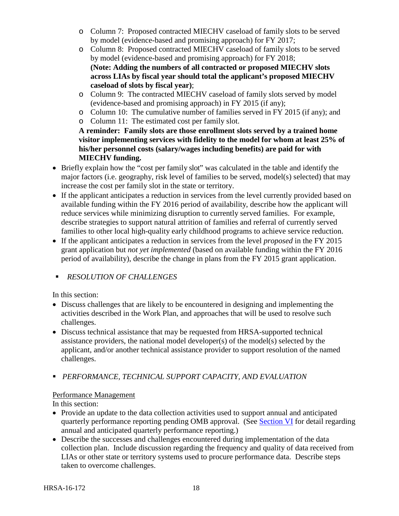- o Column 7: Proposed contracted MIECHV caseload of family slots to be served by model (evidence-based and promising approach) for FY 2017;
- o Column 8: Proposed contracted MIECHV caseload of family slots to be served by model (evidence-based and promising approach) for FY 2018; **(Note: Adding the numbers of all contracted or proposed MIECHV slots across LIAs by fiscal year should total the applicant's proposed MIECHV caseload of slots by fiscal year)**;
- o Column 9: The contracted MIECHV caseload of family slots served by model (evidence-based and promising approach) in FY 2015 (if any);
- o Column 10: The cumulative number of families served in FY 2015 (if any); and
- o Column 11: The estimated cost per family slot.

**A reminder: Family slots are those enrollment slots served by a trained home visitor implementing services with fidelity to the model for whom at least 25% of his/her personnel costs (salary/wages including benefits) are paid for with MIECHV funding.**

- Briefly explain how the "cost per family slot" was calculated in the table and identify the major factors (i.e. geography, risk level of families to be served, model(s) selected) that may increase the cost per family slot in the state or territory.
- If the applicant anticipates a reduction in services from the level currently provided based on available funding within the FY 2016 period of availability, describe how the applicant will reduce services while minimizing disruption to currently served families. For example, describe strategies to support natural attrition of families and referral of currently served families to other local high-quality early childhood programs to achieve service reduction.
- If the applicant anticipates a reduction in services from the level *proposed* in the FY 2015 grant application but *not yet implemented* (based on available funding within the FY 2016 period of availability), describe the change in plans from the FY 2015 grant application.
- *RESOLUTION OF CHALLENGES*

In this section:

- Discuss challenges that are likely to be encountered in designing and implementing the activities described in the Work Plan, and approaches that will be used to resolve such challenges.
- Discuss technical assistance that may be requested from HRSA-supported technical assistance providers, the national model developer(s) of the model(s) selected by the applicant, and/or another technical assistance provider to support resolution of the named challenges.
- *PERFORMANCE, TECHNICAL SUPPORT CAPACITY, AND EVALUATION*

# Performance Management

In this section:

- Provide an update to the data collection activities used to support annual and anticipated quarterly performance reporting pending OMB approval. (See [Section VI](#page-37-3) for detail regarding annual and anticipated quarterly performance reporting.)
- Describe the successes and challenges encountered during implementation of the data collection plan. Include discussion regarding the frequency and quality of data received from LIAs or other state or territory systems used to procure performance data. Describe steps taken to overcome challenges.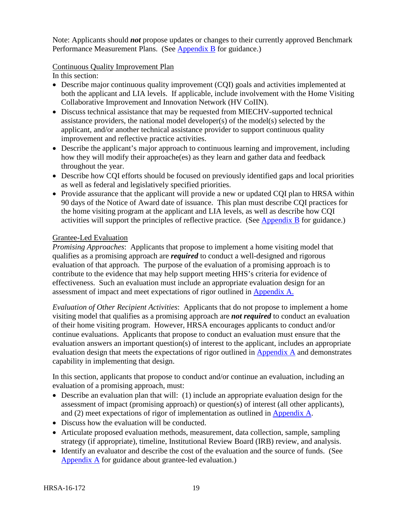Note: Applicants should *not* propose updates or changes to their currently approved Benchmark Performance Measurement Plans. (See [Appendix](#page-48-0) B for guidance.)

#### Continuous Quality Improvement Plan

In this section:

- Describe major continuous quality improvement (COI) goals and activities implemented at both the applicant and LIA levels. If applicable, include involvement with the Home Visiting Collaborative Improvement and Innovation Network (HV CoIIN).
- Discuss technical assistance that may be requested from MIECHV-supported technical assistance providers, the national model developer(s) of the model(s) selected by the applicant, and/or another technical assistance provider to support continuous quality improvement and reflective practice activities.
- Describe the applicant's major approach to continuous learning and improvement, including how they will modify their approache(es) as they learn and gather data and feedback throughout the year.
- Describe how CQI efforts should be focused on previously identified gaps and local priorities as well as federal and legislatively specified priorities.
- Provide assurance that the applicant will provide a new or updated CQI plan to HRSA within 90 days of the Notice of Award date of issuance. This plan must describe CQI practices for the home visiting program at the applicant and LIA levels, as well as describe how CQI activities will support the principles of reflective practice. (See [Appendix](#page-48-0) B for guidance.)

#### Grantee-Led Evaluation

*Promising Approaches*: Applicants that propose to implement a home visiting model that qualifies as a promising approach are *required* to conduct a well-designed and rigorous evaluation of that approach. The purpose of the evaluation of a promising approach is to contribute to the evidence that may help support meeting HHS's criteria for evidence of effectiveness. Such an evaluation must include an appropriate evaluation design for an assessment of impact and meet expectations of rigor outlined in [Appendix A.](#page-44-0)

*Evaluation of Other Recipient Activities*: Applicants that do not propose to implement a home visiting model that qualifies as a promising approach are *not required* to conduct an evaluation of their home visiting program. However, HRSA encourages applicants to conduct and/or continue evaluations. Applicants that propose to conduct an evaluation must ensure that the evaluation answers an important question(s) of interest to the applicant, includes an appropriate evaluation design that meets the expectations of rigor outlined in [Appendix A](#page-44-0) and demonstrates capability in implementing that design.

In this section, applicants that propose to conduct and/or continue an evaluation, including an evaluation of a promising approach, must:

- Describe an evaluation plan that will: (1) include an appropriate evaluation design for the assessment of impact (promising approach) or question(s) of interest (all other applicants), and (2) meet expectations of rigor of implementation as outlined in [Appendix A.](#page-44-0)
- Discuss how the evaluation will be conducted.
- Articulate proposed evaluation methods, measurement, data collection, sample, sampling strategy (if appropriate), timeline, Institutional Review Board (IRB) review, and analysis.
- Identify an evaluator and describe the cost of the evaluation and the source of funds. (See [Appendix A](#page-44-0) for guidance about grantee-led evaluation.)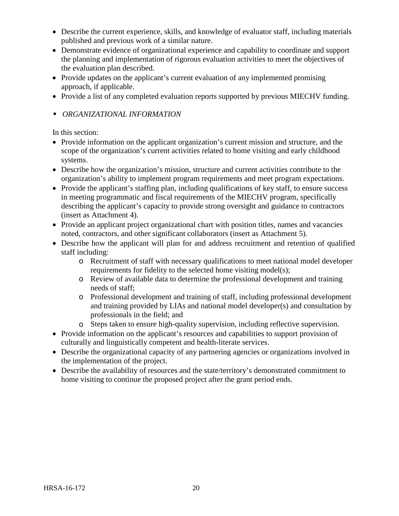- Describe the current experience, skills, and knowledge of evaluator staff, including materials published and previous work of a similar nature.
- Demonstrate evidence of organizational experience and capability to coordinate and support the planning and implementation of rigorous evaluation activities to meet the objectives of the evaluation plan described.
- Provide updates on the applicant's current evaluation of any implemented promising approach, if applicable.
- Provide a list of any completed evaluation reports supported by previous MIECHV funding.
- *ORGANIZATIONAL INFORMATION*

In this section:

- Provide information on the applicant organization's current mission and structure, and the scope of the organization's current activities related to home visiting and early childhood systems.
- Describe how the organization's mission, structure and current activities contribute to the organization's ability to implement program requirements and meet program expectations.
- Provide the applicant's staffing plan, including qualifications of key staff, to ensure success in meeting programmatic and fiscal requirements of the MIECHV program, specifically describing the applicant's capacity to provide strong oversight and guidance to contractors (insert as Attachment 4).
- Provide an applicant project organizational chart with position titles, names and vacancies noted, contractors, and other significant collaborators (insert as Attachment 5).
- Describe how the applicant will plan for and address recruitment and retention of qualified staff including:
	- o Recruitment of staff with necessary qualifications to meet national model developer requirements for fidelity to the selected home visiting model(s);
	- o Review of available data to determine the professional development and training needs of staff;
	- o Professional development and training of staff, including professional development and training provided by LIAs and national model developer(s) and consultation by professionals in the field; and
	- o Steps taken to ensure high-quality supervision, including reflective supervision.
- Provide information on the applicant's resources and capabilities to support provision of culturally and linguistically competent and health-literate services.
- Describe the organizational capacity of any partnering agencies or organizations involved in the implementation of the project.
- Describe the availability of resources and the state/territory's demonstrated commitment to home visiting to continue the proposed project after the grant period ends.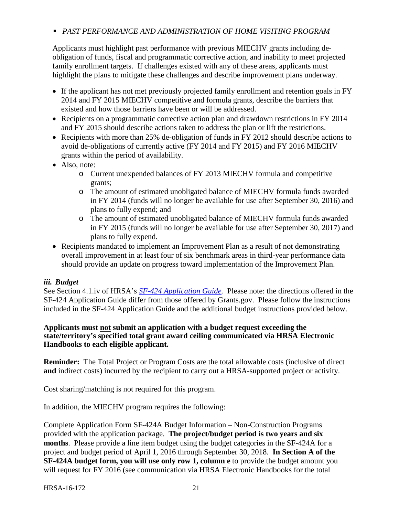# *PAST PERFORMANCE AND ADMINISTRATION OF HOME VISITING PROGRAM*

Applicants must highlight past performance with previous MIECHV grants including deobligation of funds, fiscal and programmatic corrective action, and inability to meet projected family enrollment targets. If challenges existed with any of these areas, applicants must highlight the plans to mitigate these challenges and describe improvement plans underway.

- If the applicant has not met previously projected family enrollment and retention goals in FY 2014 and FY 2015 MIECHV competitive and formula grants, describe the barriers that existed and how those barriers have been or will be addressed.
- Recipients on a programmatic corrective action plan and drawdown restrictions in FY 2014 and FY 2015 should describe actions taken to address the plan or lift the restrictions.
- Recipients with more than 25% de-obligation of funds in FY 2012 should describe actions to avoid de-obligations of currently active (FY 2014 and FY 2015) and FY 2016 MIECHV grants within the period of availability.
- Also, note:
	- o Current unexpended balances of FY 2013 MIECHV formula and competitive grants;
	- o The amount of estimated unobligated balance of MIECHV formula funds awarded in FY 2014 (funds will no longer be available for use after September 30, 2016) and plans to fully expend; and
	- o The amount of estimated unobligated balance of MIECHV formula funds awarded in FY 2015 (funds will no longer be available for use after September 30, 2017) and plans to fully expend.
- Recipients mandated to implement an Improvement Plan as a result of not demonstrating overall improvement in at least four of six benchmark areas in third-year performance data should provide an update on progress toward implementation of the Improvement Plan.

# <span id="page-25-0"></span>*iii. Budget*

See Section 4.1.iv of HRSA's *SF-424 [Application Guide.](http://www.hrsa.gov/grants/apply/applicationguide/sf424guide.pdf)* Please note: the directions offered in the SF-424 Application Guide differ from those offered by Grants.gov. Please follow the instructions included in the SF-424 Application Guide and the additional budget instructions provided below.

#### **Applicants must not submit an application with a budget request exceeding the state/territory's specified total grant award ceiling communicated via HRSA Electronic Handbooks to each eligible applicant.**

**Reminder:** The Total Project or Program Costs are the total allowable costs (inclusive of direct **and** indirect costs) incurred by the recipient to carry out a HRSA-supported project or activity.

Cost sharing/matching is not required for this program.

In addition, the MIECHV program requires the following:

Complete Application Form SF-424A Budget Information – Non-Construction Programs provided with the application package. **The project/budget period is two years and six months**. Please provide a line item budget using the budget categories in the SF-424A for a project and budget period of April 1, 2016 through September 30, 2018. **In Section A of the SF-424A budget form, you will use only row 1, column e** to provide the budget amount you will request for FY 2016 (see communication via HRSA Electronic Handbooks for the total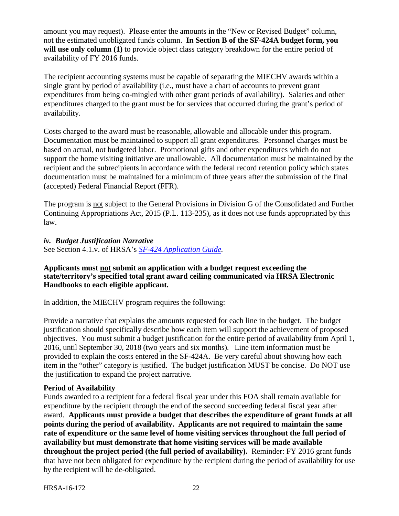amount you may request). Please enter the amounts in the "New or Revised Budget" column, not the estimated unobligated funds column. **In Section B of the SF-424A budget form, you will use only column (1)** to provide object class category breakdown for the entire period of availability of FY 2016 funds.

The recipient accounting systems must be capable of separating the MIECHV awards within a single grant by period of availability (i.e., must have a chart of accounts to prevent grant expenditures from being co-mingled with other grant periods of availability). Salaries and other expenditures charged to the grant must be for services that occurred during the grant's period of availability.

Costs charged to the award must be reasonable, allowable and allocable under this program. Documentation must be maintained to support all grant expenditures. Personnel charges must be based on actual, not budgeted labor. Promotional gifts and other expenditures which do not support the home visiting initiative are unallowable. All documentation must be maintained by the recipient and the subrecipients in accordance with the federal record retention policy which states documentation must be maintained for a minimum of three years after the submission of the final (accepted) Federal Financial Report (FFR).

The program is not subject to the General Provisions in Division G of the Consolidated and Further Continuing Appropriations Act, 2015 (P.L. 113-235), as it does not use funds appropriated by this law.

<span id="page-26-0"></span>*iv. Budget Justification Narrative*

See Section 4.1.v. of HRSA's *SF-424 [Application Guide.](http://www.hrsa.gov/grants/apply/applicationguide/sf424guide.pdf)*

#### **Applicants must not submit an application with a budget request exceeding the state/territory's specified total grant award ceiling communicated via HRSA Electronic Handbooks to each eligible applicant.**

In addition, the MIECHV program requires the following:

Provide a narrative that explains the amounts requested for each line in the budget. The budget justification should specifically describe how each item will support the achievement of proposed objectives. You must submit a budget justification for the entire period of availability from April 1, 2016, until September 30, 2018 (two years and six months). Line item information must be provided to explain the costs entered in the SF-424A. Be very careful about showing how each item in the "other" category is justified. The budget justification MUST be concise. Do NOT use the justification to expand the project narrative.

# **Period of Availability**

Funds awarded to a recipient for a federal fiscal year under this FOA shall remain available for expenditure by the recipient through the end of the second succeeding federal fiscal year after award. **Applicants must provide a budget that describes the expenditure of grant funds at all points during the period of availability. Applicants are not required to maintain the same rate of expenditure or the same level of home visiting services throughout the full period of availability but must demonstrate that home visiting services will be made available throughout the project period (the full period of availability).** Reminder: FY 2016 grant funds that have not been obligated for expenditure by the recipient during the period of availability for use by the recipient will be de-obligated.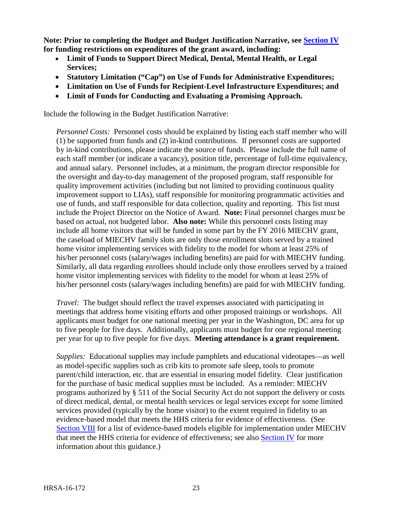**Note: Prior to completing the Budget and Budget Justification Narrative, see [Section IV](#page-33-1) for funding restrictions on expenditures of the grant award, including:**

- **Limit of Funds to Support Direct Medical, Dental, Mental Health, or Legal Services;**
- **Statutory Limitation ("Cap") on Use of Funds for Administrative Expenditures;**
- **Limitation on Use of Funds for Recipient-Level Infrastructure Expenditures; and**
- **Limit of Funds for Conducting and Evaluating a Promising Approach.**

Include the following in the Budget Justification Narrative:

*Personnel Costs:* Personnel costs should be explained by listing each staff member who will (1) be supported from funds and (2) in-kind contributions. If personnel costs are supported by in-kind contributions, please indicate the source of funds. Please include the full name of each staff member (or indicate a vacancy), position title, percentage of full-time equivalency, and annual salary. Personnel includes, at a minimum, the program director responsible for the oversight and day-to-day management of the proposed program, staff responsible for quality improvement activities (including but not limited to providing continuous quality improvement support to LIAs), staff responsible for monitoring programmatic activities and use of funds, and staff responsible for data collection, quality and reporting. This list must include the Project Director on the Notice of Award. **Note:** Final personnel charges must be based on actual, not budgeted labor. **Also note:** While this personnel costs listing may include all home visitors that will be funded in some part by the FY 2016 MIECHV grant, the caseload of MIECHV family slots are only those enrollment slots served by a trained home visitor implementing services with fidelity to the model for whom at least 25% of his/her personnel costs (salary/wages including benefits) are paid for with MIECHV funding. Similarly, all data regarding enrollees should include only those enrollees served by a trained home visitor implementing services with fidelity to the model for whom at least 25% of his/her personnel costs (salary/wages including benefits) are paid for with MIECHV funding.

*Travel:* The budget should reflect the travel expenses associated with participating in meetings that address home visiting efforts and other proposed trainings or workshops. All applicants must budget for one national meeting per year in the Washington, DC area for up to five people for five days. Additionally, applicants must budget for one regional meeting per year for up to five people for five days. **Meeting attendance is a grant requirement.**

*Supplies:* Educational supplies may include pamphlets and educational videotapes—as well as model-specific supplies such as crib kits to promote safe sleep, tools to promote parent/child interaction, etc. that are essential in ensuring model fidelity. Clear justification for the purchase of basic medical supplies must be included. As a reminder: MIECHV programs authorized by § 511 of the Social Security Act do not support the delivery or costs of direct medical, dental, or mental health services or legal services except for some limited services provided (typically by the home visitor) to the extent required in fidelity to an evidence-based model that meets the HHS criteria for evidence of effectiveness. (See [Section VIII](#page-41-2) for a list of evidence-based models eligible for implementation under MIECHV that meet the HHS criteria for evidence of effectiveness; see also [Section IV](#page-33-1) for more information about this guidance.)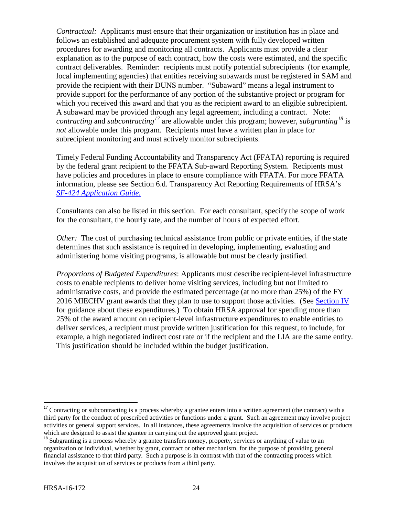*Contractual:* Applicants must ensure that their organization or institution has in place and follows an established and adequate procurement system with fully developed written procedures for awarding and monitoring all contracts. Applicants must provide a clear explanation as to the purpose of each contract, how the costs were estimated, and the specific contract deliverables. Reminder: recipients must notify potential subrecipients (for example, local implementing agencies) that entities receiving subawards must be registered in SAM and provide the recipient with their DUNS number. "Subaward" means a legal instrument to provide support for the performance of any portion of the substantive project or program for which you received this award and that you as the recipient award to an eligible subrecipient. A subaward may be provided through any legal agreement, including a contract. Note: *contracting* and *subcontracting[17](#page-28-0)* are allowable under this program; however, *subgranting[18](#page-28-1)* is *not* allowable under this program. Recipients must have a written plan in place for subrecipient monitoring and must actively monitor subrecipients.

Timely Federal Funding Accountability and Transparency Act (FFATA) reporting is required by the federal grant recipient to the FFATA Sub-award Reporting System. Recipients must have policies and procedures in place to ensure compliance with FFATA. For more FFATA information, please see Section 6.d. Transparency Act Reporting Requirements of HRSA's *SF-424 [Application Guide.](http://www.hrsa.gov/grants/apply/applicationguide/sf424guide.pdf)*

Consultants can also be listed in this section. For each consultant, specify the scope of work for the consultant, the hourly rate, and the number of hours of expected effort.

*Other:* The cost of purchasing technical assistance from public or private entities, if the state determines that such assistance is required in developing, implementing, evaluating and administering home visiting programs, is allowable but must be clearly justified.

*Proportions of Budgeted Expenditures*: Applicants must describe recipient-level infrastructure costs to enable recipients to deliver home visiting services, including but not limited to administrative costs, and provide the estimated percentage (at no more than 25%) of the FY 2016 MIECHV grant awards that they plan to use to support those activities. (See [Section IV](#page-33-1) for guidance about these expenditures.) To obtain HRSA approval for spending more than 25% of the award amount on recipient-level infrastructure expenditures to enable entities to deliver services, a recipient must provide written justification for this request, to include, for example, a high negotiated indirect cost rate or if the recipient and the LIA are the same entity. This justification should be included within the budget justification.

<span id="page-28-0"></span><sup>&</sup>lt;sup>17</sup> Contracting or subcontracting is a process whereby a grantee enters into a written agreement (the contract) with a third party for the conduct of prescribed activities or functions under a grant. Such an agreement may involve project activities or general support services. In all instances, these agreements involve the acquisition of services or products which are designed to assist the grantee in carrying out the approved grant project.

<span id="page-28-1"></span><sup>&</sup>lt;sup>18</sup> Subgranting is a process whereby a grantee transfers money, property, services or anything of value to an organization or individual, whether by grant, contract or other mechanism, for the purpose of providing general financial assistance to that third party. Such a purpose is in contrast with that of the contracting process which involves the acquisition of services or products from a third party.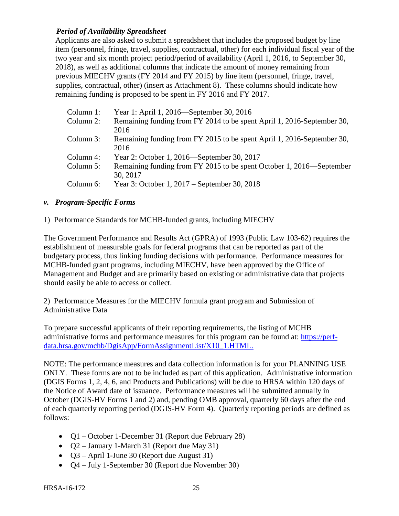# *Period of Availability Spreadsheet*

Applicants are also asked to submit a spreadsheet that includes the proposed budget by line item (personnel, fringe, travel, supplies, contractual, other) for each individual fiscal year of the two year and six month project period/period of availability (April 1, 2016, to September 30, 2018), as well as additional columns that indicate the amount of money remaining from previous MIECHV grants (FY 2014 and FY 2015) by line item (personnel, fringe, travel, supplies, contractual, other) (insert as Attachment 8). These columns should indicate how remaining funding is proposed to be spent in FY 2016 and FY 2017.

| Column 1: | Year 1: April 1, 2016—September 30, 2016                               |
|-----------|------------------------------------------------------------------------|
| Column 2: | Remaining funding from FY 2014 to be spent April 1, 2016-September 30, |
|           | 2016                                                                   |
| Column 3: | Remaining funding from FY 2015 to be spent April 1, 2016-September 30, |
|           | 2016                                                                   |
| Column 4: | Year 2: October 1, 2016—September 30, 2017                             |
| Column 5: | Remaining funding from FY 2015 to be spent October 1, 2016—September   |
|           | 30, 2017                                                               |
| Column 6: | Year 3: October 1, 2017 – September 30, 2018                           |
|           |                                                                        |

#### <span id="page-29-0"></span>*v. Program-Specific Forms*

1) Performance Standards for MCHB-funded grants, including MIECHV

The Government Performance and Results Act (GPRA) of 1993 (Public Law 103-62) requires the establishment of measurable goals for federal programs that can be reported as part of the budgetary process, thus linking funding decisions with performance. Performance measures for MCHB-funded grant programs, including MIECHV, have been approved by the Office of Management and Budget and are primarily based on existing or administrative data that projects should easily be able to access or collect.

2) Performance Measures for the MIECHV formula grant program and Submission of Administrative Data

To prepare successful applicants of their reporting requirements, the listing of MCHB administrative forms and performance measures for this program can be found at: [https://perf](https://perf-data.hrsa.gov/mchb/DgisApp/FormAssignmentList/X10_1.HTML)[data.hrsa.gov/mchb/DgisApp/FormAssignmentList/X10\\_1.HTML.](https://perf-data.hrsa.gov/mchb/DgisApp/FormAssignmentList/X10_1.HTML)

NOTE: The performance measures and data collection information is for your PLANNING USE ONLY. These forms are not to be included as part of this application. Administrative information (DGIS Forms 1, 2, 4, 6, and Products and Publications) will be due to HRSA within 120 days of the Notice of Award date of issuance. Performance measures will be submitted annually in October (DGIS-HV Forms 1 and 2) and, pending OMB approval, quarterly 60 days after the end of each quarterly reporting period (DGIS-HV Form 4). Quarterly reporting periods are defined as follows:

- Q1 October 1-December 31 (Report due February 28)
- $Q2 January 1 March 31$  (Report due May 31)
- Q3 April 1-June 30 (Report due August 31)
- Q4 July 1-September 30 (Report due November 30)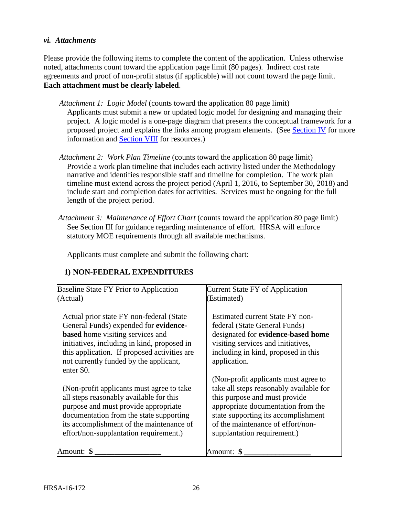#### <span id="page-30-0"></span>*vi. Attachments*

Please provide the following items to complete the content of the application. Unless otherwise noted, attachments count toward the application page limit (80 pages). Indirect cost rate agreements and proof of non-profit status (if applicable) will not count toward the page limit. **Each attachment must be clearly labeled**.

- *Attachment 1: Logic Model* (counts toward the application 80 page limit) Applicants must submit a new or updated logic model for designing and managing their project. A logic model is a one-page diagram that presents the conceptual framework for a proposed project and explains the links among program elements. (See [Section IV](#page-16-0) for more information and [Section VIII](#page-42-0) for resources.)
- *Attachment 2: Work Plan Timeline* (counts toward the application 80 page limit) Provide a work plan timeline that includes each activity listed under the Methodology narrative and identifies responsible staff and timeline for completion. The work plan timeline must extend across the project period (April 1, 2016, to September 30, 2018) and include start and completion dates for activities. Services must be ongoing for the full length of the project period.
- *Attachment 3: Maintenance of Effort Chart* (counts toward the application 80 page limit) See Section III for guidance regarding maintenance of effort. HRSA will enforce statutory MOE requirements through all available mechanisms.

Applicants must complete and submit the following chart:

| Baseline State FY Prior to Application                                                                                                                                                                                                                                               | <b>Current State FY of Application</b>                                                                                                                                                                                                                            |
|--------------------------------------------------------------------------------------------------------------------------------------------------------------------------------------------------------------------------------------------------------------------------------------|-------------------------------------------------------------------------------------------------------------------------------------------------------------------------------------------------------------------------------------------------------------------|
| (Actual)                                                                                                                                                                                                                                                                             | (Estimated)                                                                                                                                                                                                                                                       |
| Actual prior state FY non-federal (State)<br>General Funds) expended for evidence-<br><b>based</b> home visiting services and<br>initiatives, including in kind, proposed in<br>this application. If proposed activities are<br>not currently funded by the applicant,<br>enter \$0. | Estimated current State FY non-<br>federal (State General Funds)<br>designated for evidence-based home<br>visiting services and initiatives,<br>including in kind, proposed in this<br>application.                                                               |
| (Non-profit applicants must agree to take)<br>all steps reasonably available for this<br>purpose and must provide appropriate<br>documentation from the state supporting<br>its accomplishment of the maintenance of<br>effort/non-supplantation requirement.)                       | (Non-profit applicants must agree to<br>take all steps reasonably available for<br>this purpose and must provide<br>appropriate documentation from the<br>state supporting its accomplishment<br>of the maintenance of effort/non-<br>supplantation requirement.) |
| Amount:                                                                                                                                                                                                                                                                              | Amount: <b>\$</b>                                                                                                                                                                                                                                                 |

# **1) NON-FEDERAL EXPENDITURES**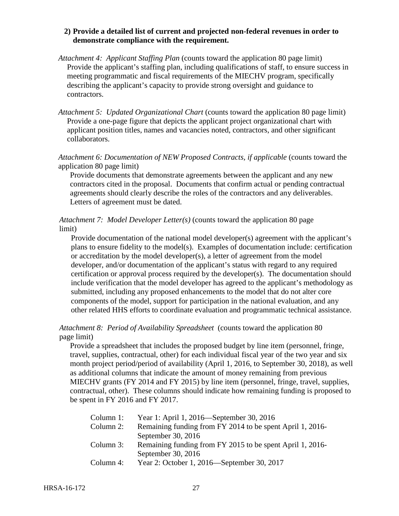#### **2) Provide a detailed list of current and projected non-federal revenues in order to demonstrate compliance with the requirement.**

- *Attachment 4: Applicant Staffing Plan* (counts toward the application 80 page limit) Provide the applicant's staffing plan, including qualifications of staff, to ensure success in meeting programmatic and fiscal requirements of the MIECHV program, specifically describing the applicant's capacity to provide strong oversight and guidance to contractors.
- *Attachment 5: Updated Organizational Chart* (counts toward the application 80 page limit) Provide a one-page figure that depicts the applicant project organizational chart with applicant position titles, names and vacancies noted, contractors, and other significant collaborators.

#### *Attachment 6: Documentation of NEW Proposed Contracts, if applicable* (counts toward the application 80 page limit)

Provide documents that demonstrate agreements between the applicant and any new contractors cited in the proposal. Documents that confirm actual or pending contractual agreements should clearly describe the roles of the contractors and any deliverables. Letters of agreement must be dated.

#### *Attachment 7: Model Developer Letter(s)* (counts toward the application 80 page limit)

Provide documentation of the national model developer(s) agreement with the applicant's plans to ensure fidelity to the model(s). Examples of documentation include: certification or accreditation by the model developer(s), a letter of agreement from the model developer, and/or documentation of the applicant's status with regard to any required certification or approval process required by the developer(s). The documentation should include verification that the model developer has agreed to the applicant's methodology as submitted, including any proposed enhancements to the model that do not alter core components of the model, support for participation in the national evaluation, and any other related HHS efforts to coordinate evaluation and programmatic technical assistance.

# *Attachment 8: Period of Availability Spreadsheet* (counts toward the application 80 page limit)

Provide a spreadsheet that includes the proposed budget by line item (personnel, fringe, travel, supplies, contractual, other) for each individual fiscal year of the two year and six month project period/period of availability (April 1, 2016, to September 30, 2018), as well as additional columns that indicate the amount of money remaining from previous MIECHV grants (FY 2014 and FY 2015) by line item (personnel, fringe, travel, supplies, contractual, other). These columns should indicate how remaining funding is proposed to be spent in FY 2016 and FY 2017.

| Column $1$ : | Year 1: April 1, 2016—September 30, 2016                  |
|--------------|-----------------------------------------------------------|
| Column 2:    | Remaining funding from FY 2014 to be spent April 1, 2016- |
|              | September 30, 2016                                        |
| Column 3:    | Remaining funding from FY 2015 to be spent April 1, 2016- |
|              | September 30, 2016                                        |
| Column 4:    | Year 2: October 1, 2016—September 30, 2017                |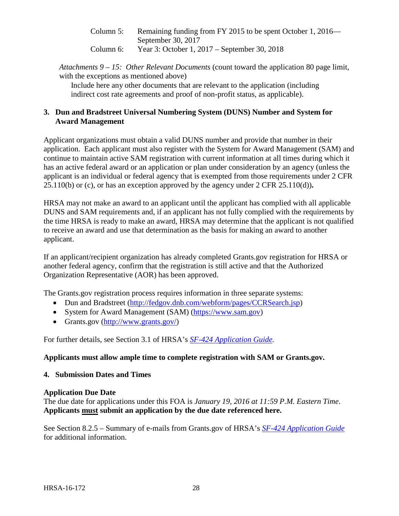Column 5: Remaining funding from FY 2015 to be spent October 1, 2016— September 30, 2017 Column 6: Year 3: October 1, 2017 – September 30, 2018

*Attachments 9 – 15: Other Relevant Documents* (count toward the application 80 page limit, with the exceptions as mentioned above)

Include here any other documents that are relevant to the application (including indirect cost rate agreements and proof of non-profit status, as applicable).

# <span id="page-32-0"></span>**3. Dun and Bradstreet Universal Numbering System (DUNS) Number and System for Award Management**

Applicant organizations must obtain a valid DUNS number and provide that number in their application. Each applicant must also register with the System for Award Management (SAM) and continue to maintain active SAM registration with current information at all times during which it has an active federal award or an application or plan under consideration by an agency (unless the applicant is an individual or federal agency that is exempted from those requirements under 2 CFR 25.110(b) or (c), or has an exception approved by the agency under 2 CFR 25.110(d))**.**

HRSA may not make an award to an applicant until the applicant has complied with all applicable DUNS and SAM requirements and, if an applicant has not fully complied with the requirements by the time HRSA is ready to make an award, HRSA may determine that the applicant is not qualified to receive an award and use that determination as the basis for making an award to another applicant.

If an applicant/recipient organization has already completed Grants.gov registration for HRSA or another federal agency, confirm that the registration is still active and that the Authorized Organization Representative (AOR) has been approved.

The Grants.gov registration process requires information in three separate systems:

- Dun and Bradstreet [\(http://fedgov.dnb.com/webform/pages/CCRSearch.jsp\)](http://fedgov.dnb.com/webform/pages/CCRSearch.jsp)
- System for Award Management (SAM) [\(https://www.sam.gov\)](https://www.sam.gov/)
- Grants.gov [\(http://www.grants.gov/\)](http://www.grants.gov/)

For further details, see Section 3.1 of HRSA's *SF-424 [Application Guide.](http://www.hrsa.gov/grants/apply/applicationguide/sf424guide.pdf)*

# **Applicants must allow ample time to complete registration with SAM or Grants.gov.**

# <span id="page-32-1"></span>**4. Submission Dates and Times**

# **Application Due Date**

The due date for applications under this FOA is *January 19, 2016 at 11:59 P.M. Eastern Time*. **Applicants must submit an application by the due date referenced here.**

See Section 8.2.5 – Summary of e-mails from Grants.gov of HRSA's *[SF-424 Application Guide](http://www.hrsa.gov/grants/apply/applicationguide/sf424guide.pdf)* for additional information.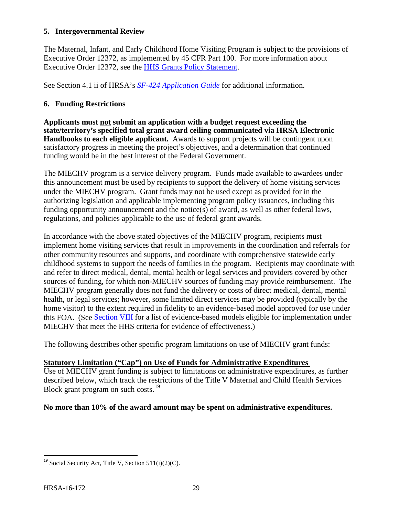#### <span id="page-33-0"></span>**5. Intergovernmental Review**

The Maternal, Infant, and Early Childhood Home Visiting Program is subject to the provisions of Executive Order 12372, as implemented by 45 CFR Part 100. For more information about Executive Order 12372, see the [HHS Grants Policy Statement.](http://www.hrsa.gov/grants/hhsgrantspolicy.pdf)

See Section 4.1 ii of HRSA's *SF-424 [Application Guide](http://www.hrsa.gov/grants/apply/applicationguide/sf424guide.pdf)* for additional information.

# <span id="page-33-1"></span>**6. Funding Restrictions**

**Applicants must not submit an application with a budget request exceeding the state/territory's specified total grant award ceiling communicated via HRSA Electronic Handbooks to each eligible applicant.** Awards to support projects will be contingent upon satisfactory progress in meeting the project's objectives, and a determination that continued funding would be in the best interest of the Federal Government.

The MIECHV program is a service delivery program. Funds made available to awardees under this announcement must be used by recipients to support the delivery of home visiting services under the MIECHV program. Grant funds may not be used except as provided for in the authorizing legislation and applicable implementing program policy issuances, including this funding opportunity announcement and the notice(s) of award, as well as other federal laws, regulations, and policies applicable to the use of federal grant awards.

In accordance with the above stated objectives of the MIECHV program, recipients must implement home visiting services that result in improvements in the coordination and referrals for other community resources and supports, and coordinate with comprehensive statewide early childhood systems to support the needs of families in the program. Recipients may coordinate with and refer to direct medical, dental, mental health or legal services and providers covered by other sources of funding, for which non-MIECHV sources of funding may provide reimbursement. The MIECHV program generally does not fund the delivery or costs of direct medical, dental, mental health, or legal services; however, some limited direct services may be provided (typically by the home visitor) to the extent required in fidelity to an evidence-based model approved for use under this FOA. (See [Section VIII](#page-41-2) for a list of evidence-based models eligible for implementation under MIECHV that meet the HHS criteria for evidence of effectiveness.)

The following describes other specific program limitations on use of MIECHV grant funds:

# **Statutory Limitation ("Cap") on Use of Funds for Administrative Expenditures**

Use of MIECHV grant funding is subject to limitations on administrative expenditures, as further described below, which track the restrictions of the Title V Maternal and Child Health Services Block grant program on such costs.<sup>[19](#page-33-2)</sup>

**No more than 10% of the award amount may be spent on administrative expenditures.**

<span id="page-33-2"></span><sup>&</sup>lt;sup>19</sup> Social Security Act, Title V, Section  $511(i)(2)(C)$ .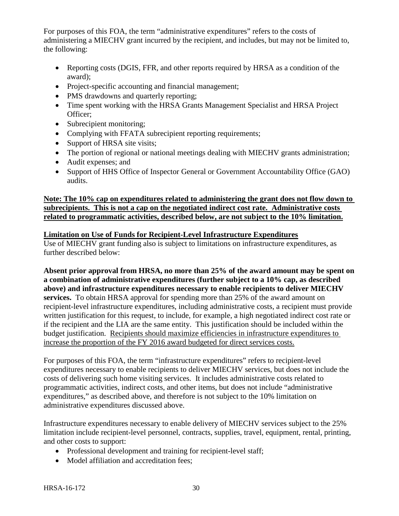For purposes of this FOA, the term "administrative expenditures" refers to the costs of administering a MIECHV grant incurred by the recipient, and includes, but may not be limited to, the following:

- Reporting costs (DGIS, FFR, and other reports required by HRSA as a condition of the award);
- Project-specific accounting and financial management;
- PMS drawdowns and quarterly reporting;
- Time spent working with the HRSA Grants Management Specialist and HRSA Project Officer;
- Subrecipient monitoring;
- Complying with FFATA subrecipient reporting requirements;
- Support of HRSA site visits;
- The portion of regional or national meetings dealing with MIECHV grants administration;
- Audit expenses; and
- Support of HHS Office of Inspector General or Government Accountability Office (GAO) audits.

# **Note: The 10% cap on expenditures related to administering the grant does not flow down to subrecipients. This is not a cap on the negotiated indirect cost rate. Administrative costs related to programmatic activities, described below, are not subject to the 10% limitation.**

# **Limitation on Use of Funds for Recipient-Level Infrastructure Expenditures**

Use of MIECHV grant funding also is subject to limitations on infrastructure expenditures, as further described below:

**Absent prior approval from HRSA, no more than 25% of the award amount may be spent on a combination of administrative expenditures (further subject to a 10% cap, as described above) and infrastructure expenditures necessary to enable recipients to deliver MIECHV services.** To obtain HRSA approval for spending more than 25% of the award amount on recipient-level infrastructure expenditures, including administrative costs, a recipient must provide written justification for this request, to include, for example, a high negotiated indirect cost rate or if the recipient and the LIA are the same entity. This justification should be included within the budget justification. Recipients should maximize efficiencies in infrastructure expenditures to increase the proportion of the FY 2016 award budgeted for direct services costs.

For purposes of this FOA, the term "infrastructure expenditures" refers to recipient-level expenditures necessary to enable recipients to deliver MIECHV services, but does not include the costs of delivering such home visiting services. It includes administrative costs related to programmatic activities, indirect costs, and other items, but does not include "administrative expenditures," as described above, and therefore is not subject to the 10% limitation on administrative expenditures discussed above.

Infrastructure expenditures necessary to enable delivery of MIECHV services subject to the 25% limitation include recipient-level personnel, contracts, supplies, travel, equipment, rental, printing, and other costs to support:

- Professional development and training for recipient-level staff;
- Model affiliation and accreditation fees;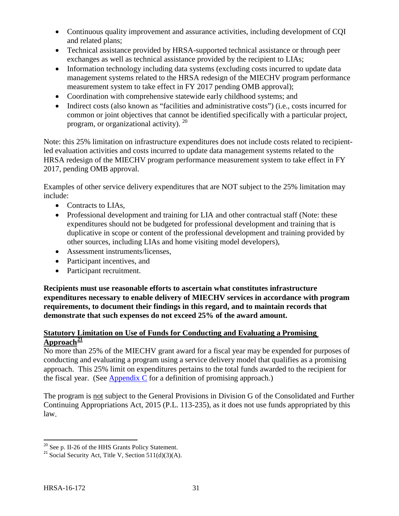- Continuous quality improvement and assurance activities, including development of CQI and related plans;
- Technical assistance provided by HRSA-supported technical assistance or through peer exchanges as well as technical assistance provided by the recipient to LIAs;
- Information technology including data systems (excluding costs incurred to update data management systems related to the HRSA redesign of the MIECHV program performance measurement system to take effect in FY 2017 pending OMB approval);
- Coordination with comprehensive statewide early childhood systems; and
- Indirect costs (also known as "facilities and administrative costs") (i.e., costs incurred for common or joint objectives that cannot be identified specifically with a particular project, program, or organizational activity). [20](#page-35-0)

Note: this 25% limitation on infrastructure expenditures does not include costs related to recipientled evaluation activities and costs incurred to update data management systems related to the HRSA redesign of the MIECHV program performance measurement system to take effect in FY 2017, pending OMB approval.

Examples of other service delivery expenditures that are NOT subject to the 25% limitation may include:

- Contracts to LIAs,
- Professional development and training for LIA and other contractual staff (Note: these expenditures should not be budgeted for professional development and training that is duplicative in scope or content of the professional development and training provided by other sources, including LIAs and home visiting model developers),
- Assessment instruments/licenses.
- Participant incentives, and
- Participant recruitment.

**Recipients must use reasonable efforts to ascertain what constitutes infrastructure expenditures necessary to enable delivery of MIECHV services in accordance with program requirements, to document their findings in this regard, and to maintain records that demonstrate that such expenses do not exceed 25% of the award amount.** 

#### **Statutory Limitation on Use of Funds for Conducting and Evaluating a Promising Approach[21](#page-35-1)**

No more than 25% of the MIECHV grant award for a fiscal year may be expended for purposes of conducting and evaluating a program using a service delivery model that qualifies as a promising approach. This 25% limit on expenditures pertains to the total funds awarded to the recipient for the fiscal year. (See [Appendix C](#page-50-0) for a definition of promising approach.)

The program is not subject to the General Provisions in Division G of the Consolidated and Further Continuing Appropriations Act, 2015 (P.L. 113-235), as it does not use funds appropriated by this law.

<span id="page-35-1"></span><span id="page-35-0"></span><sup>&</sup>lt;sup>20</sup> See p. II-26 of the HHS Grants Policy Statement.<br><sup>21</sup> Social Security Act, Title V, Section 511(d)(3)(A).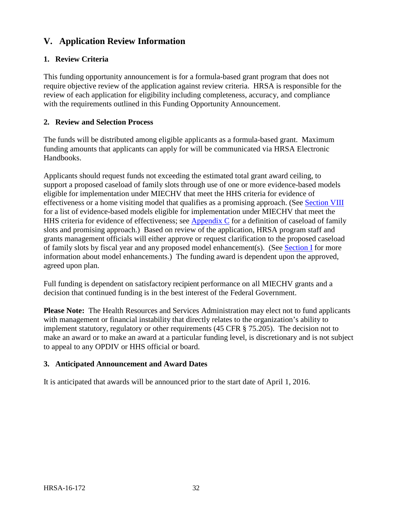# <span id="page-36-0"></span>**V. Application Review Information**

# <span id="page-36-1"></span>**1. Review Criteria**

This funding opportunity announcement is for a formula-based grant program that does not require objective review of the application against review criteria. HRSA is responsible for the review of each application for eligibility including completeness, accuracy, and compliance with the requirements outlined in this Funding Opportunity Announcement.

#### <span id="page-36-2"></span>**2. Review and Selection Process**

The funds will be distributed among eligible applicants as a formula-based grant. Maximum funding amounts that applicants can apply for will be communicated via HRSA Electronic Handbooks.

Applicants should request funds not exceeding the estimated total grant award ceiling, to support a proposed caseload of family slots through use of one or more evidence-based models eligible for implementation under MIECHV that meet the HHS criteria for evidence of effectiveness or a home visiting model that qualifies as a promising approach. (See [Section VIII](#page-41-2) for a list of evidence-based models eligible for implementation under MIECHV that meet the HHS criteria for evidence of effectiveness; see [Appendix C](#page-50-0) for a definition of caseload of family slots and promising approach.) Based on review of the application, HRSA program staff and grants management officials will either approve or request clarification to the proposed caseload of family slots by fiscal year and any proposed model enhancement(s). (See [Section I](#page-6-0) for more information about model enhancements.) The funding award is dependent upon the approved, agreed upon plan.

Full funding is dependent on satisfactory recipient performance on all MIECHV grants and a decision that continued funding is in the best interest of the Federal Government.

**Please Note:** The Health Resources and Services Administration may elect not to fund applicants with management or financial instability that directly relates to the organization's ability to implement statutory, regulatory or other requirements [\(45 CFR § 75.205\)](http://www.ecfr.gov/cgi-bin/retrieveECFR?gp=1&SID=4d52364ec83fab994c665943dadf9cf7&ty=HTML&h=L&r=PART&n=pt45.1.75#se45.1.75_1205). The decision not to make an award or to make an award at a particular funding level, is discretionary and is not subject to appeal to any OPDIV or HHS official or board.

#### <span id="page-36-3"></span>**3. Anticipated Announcement and Award Dates**

It is anticipated that awards will be announced prior to the start date of April 1, 2016.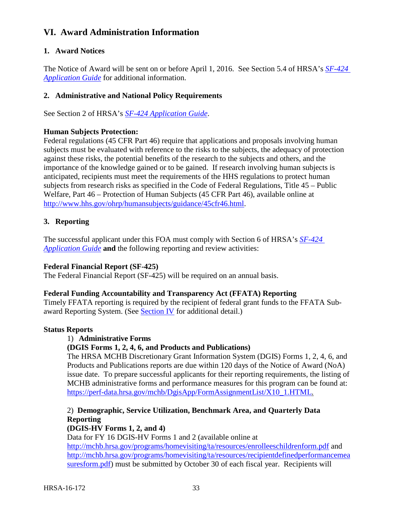# <span id="page-37-0"></span>**VI. Award Administration Information**

#### <span id="page-37-1"></span>**1. Award Notices**

The Notice of Award will be sent on or before April 1, 2016. See Section 5.4 of HRSA's *[SF-424](http://www.hrsa.gov/grants/apply/applicationguide/sf424guide.pdf) [Application Guide](http://www.hrsa.gov/grants/apply/applicationguide/sf424guide.pdf)* for additional information.

#### <span id="page-37-2"></span>**2. Administrative and National Policy Requirements**

See Section 2 of HRSA's *SF-424 [Application Guide](http://www.hrsa.gov/grants/apply/applicationguide/sf424guide.pdf)*.

#### **Human Subjects Protection:**

Federal regulations (45 CFR Part 46) require that applications and proposals involving human subjects must be evaluated with reference to the risks to the subjects, the adequacy of protection against these risks, the potential benefits of the research to the subjects and others, and the importance of the knowledge gained or to be gained. If research involving human subjects is anticipated, recipients must meet the requirements of the HHS regulations to protect human subjects from research risks as specified in the Code of Federal Regulations, Title 45 – Public Welfare, Part 46 – Protection of Human Subjects (45 CFR Part 46), available online at [http://www.hhs.gov/ohrp/humansubjects/guidance/45cfr46.html.](http://www.hhs.gov/ohrp/humansubjects/guidance/45cfr46.html)

#### <span id="page-37-3"></span>**3. Reporting**

The successful applicant under this FOA must comply with Section 6 of HRSA's *[SF-424](http://www.hrsa.gov/grants/apply/applicationguide/sf424guide.pdf) [Application Guide](http://www.hrsa.gov/grants/apply/applicationguide/sf424guide.pdf)* **and** the following reporting and review activities:

#### **Federal Financial Report (SF-425)**

The Federal Financial Report (SF-425) will be required on an annual basis.

#### **Federal Funding Accountability and Transparency Act (FFATA) Reporting**

Timely FFATA reporting is required by the recipient of federal grant funds to the FFATA Subaward Reporting System. (See **Section IV** for additional detail.)

#### **Status Reports**

#### 1) **Administrative Forms**

#### **(DGIS Forms 1, 2, 4, 6, and Products and Publications)**

The HRSA MCHB Discretionary Grant Information System (DGIS) Forms 1, 2, 4, 6, and Products and Publications reports are due within 120 days of the Notice of Award (NoA) issue date. To prepare successful applicants for their reporting requirements, the listing of MCHB administrative forms and performance measures for this program can be found at: [https://perf-data.hrsa.gov/mchb/DgisApp/FormAssignmentList/X10\\_1.HTML.](https://perf-data.hrsa.gov/mchb/DgisApp/FormAssignmentList/X10_1.HTML)

2) **Demographic, Service Utilization, Benchmark Area, and Quarterly Data Reporting (DGIS-HV Forms 1, 2, and 4)**

Data for FY 16 DGIS-HV Forms 1 and 2 (available online at <http://mchb.hrsa.gov/programs/homevisiting/ta/resources/enrolleeschildrenform.pdf> and [http://mchb.hrsa.gov/programs/homevisiting/ta/resources/recipientdefinedperformancemea](http://mchb.hrsa.gov/programs/homevisiting/ta/resources/granteedefinedperformancemeasuresform.pdf) [suresform.pdf\)](http://mchb.hrsa.gov/programs/homevisiting/ta/resources/granteedefinedperformancemeasuresform.pdf) must be submitted by October 30 of each fiscal year. Recipients will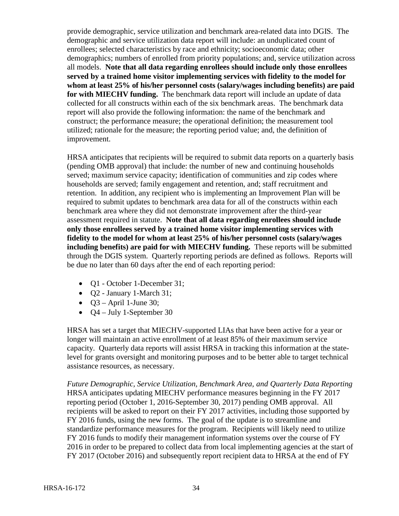provide demographic, service utilization and benchmark area-related data into DGIS. The demographic and service utilization data report will include: an unduplicated count of enrollees; selected characteristics by race and ethnicity; socioeconomic data; other demographics; numbers of enrolled from priority populations; and, service utilization across all models. **Note that all data regarding enrollees should include only those enrollees served by a trained home visitor implementing services with fidelity to the model for whom at least 25% of his/her personnel costs (salary/wages including benefits) are paid for with MIECHV funding.** The benchmark data report will include an update of data collected for all constructs within each of the six benchmark areas. The benchmark data report will also provide the following information: the name of the benchmark and construct; the performance measure; the operational definition; the measurement tool utilized; rationale for the measure; the reporting period value; and, the definition of improvement.

HRSA anticipates that recipients will be required to submit data reports on a quarterly basis (pending OMB approval) that include: the number of new and continuing households served; maximum service capacity; identification of communities and zip codes where households are served; family engagement and retention, and; staff recruitment and retention. In addition, any recipient who is implementing an Improvement Plan will be required to submit updates to benchmark area data for all of the constructs within each benchmark area where they did not demonstrate improvement after the third-year assessment required in statute. **Note that all data regarding enrollees should include only those enrollees served by a trained home visitor implementing services with fidelity to the model for whom at least 25% of his/her personnel costs (salary/wages including benefits) are paid for with MIECHV funding.** These reports will be submitted through the DGIS system. Quarterly reporting periods are defined as follows. Reports will be due no later than 60 days after the end of each reporting period:

- O1 October 1-December 31;
- Q2 January 1-March 31;
- $Q3 April 1$ -June 30;
- $Q4 July 1-September 30$

HRSA has set a target that MIECHV-supported LIAs that have been active for a year or longer will maintain an active enrollment of at least 85% of their maximum service capacity. Quarterly data reports will assist HRSA in tracking this information at the statelevel for grants oversight and monitoring purposes and to be better able to target technical assistance resources, as necessary.

*Future Demographic, Service Utilization, Benchmark Area, and Quarterly Data Reporting* HRSA anticipates updating MIECHV performance measures beginning in the FY 2017 reporting period (October 1, 2016-September 30, 2017) pending OMB approval. All recipients will be asked to report on their FY 2017 activities, including those supported by FY 2016 funds, using the new forms. The goal of the update is to streamline and standardize performance measures for the program. Recipients will likely need to utilize FY 2016 funds to modify their management information systems over the course of FY 2016 in order to be prepared to collect data from local implementing agencies at the start of FY 2017 (October 2016) and subsequently report recipient data to HRSA at the end of FY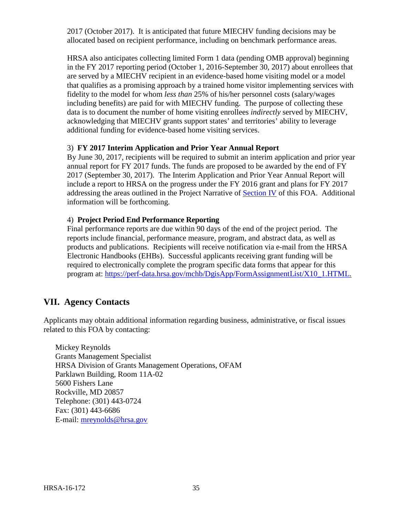2017 (October 2017). It is anticipated that future MIECHV funding decisions may be allocated based on recipient performance, including on benchmark performance areas.

HRSA also anticipates collecting limited Form 1 data (pending OMB approval) beginning in the FY 2017 reporting period (October 1, 2016-September 30, 2017) about enrollees that are served by a MIECHV recipient in an evidence-based home visiting model or a model that qualifies as a promising approach by a trained home visitor implementing services with fidelity to the model for whom *less than* 25% of his/her personnel costs (salary/wages including benefits) are paid for with MIECHV funding. The purpose of collecting these data is to document the number of home visiting enrollees *indirectly* served by MIECHV, acknowledging that MIECHV grants support states' and territories' ability to leverage additional funding for evidence-based home visiting services.

# 3) **FY 2017 Interim Application and Prior Year Annual Report**

By June 30, 2017, recipients will be required to submit an interim application and prior year annual report for FY 2017 funds. The funds are proposed to be awarded by the end of FY 2017 (September 30, 2017). The Interim Application and Prior Year Annual Report will include a report to HRSA on the progress under the FY 2016 grant and plans for FY 2017 addressing the areas outlined in the Project Narrative of **[Section](#page-16-0) IV** of this FOA. Additional information will be forthcoming.

# 4) **Project Period End Performance Reporting**

Final performance reports are due within 90 days of the end of the project period. The reports include financial, performance measure, program, and abstract data, as well as products and publications. Recipients will receive notification via e-mail from the HRSA Electronic Handbooks (EHBs). Successful applicants receiving grant funding will be required to electronically complete the program specific data forms that appear for this program at: [https://perf-data.hrsa.gov/mchb/DgisApp/FormAssignmentList/X10\\_1.HTML.](https://perf-data.hrsa.gov/mchb/DgisApp/FormAssignmentList/X10_1.HTML)

# <span id="page-39-0"></span>**VII. Agency Contacts**

Applicants may obtain additional information regarding business, administrative, or fiscal issues related to this FOA by contacting:

Mickey Reynolds Grants Management Specialist HRSA Division of Grants Management Operations, OFAM Parklawn Building, Room 11A-02 5600 Fishers Lane Rockville, MD 20857 Telephone: (301) 443-0724 Fax: (301) 443-6686 E-mail: [mreynolds@hrsa.gov](mailto:mreynolds@hrsa.gov)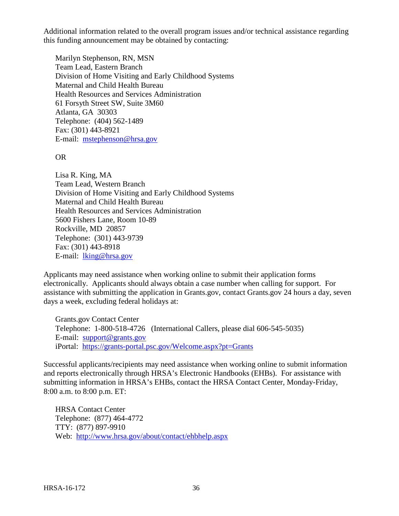Additional information related to the overall program issues and/or technical assistance regarding this funding announcement may be obtained by contacting:

Marilyn Stephenson, RN, MSN Team Lead, Eastern Branch Division of Home Visiting and Early Childhood Systems Maternal and Child Health Bureau Health Resources and Services Administration 61 Forsyth Street SW, Suite 3M60 Atlanta, GA 30303 Telephone: (404) 562-1489 Fax: (301) 443-8921 E-mail: [mstephenson@hrsa.gov](mailto:mstephenson@hrsa.gov)

#### OR

Lisa R. King, MA Team Lead, Western Branch Division of Home Visiting and Early Childhood Systems Maternal and Child Health Bureau Health Resources and Services Administration 5600 Fishers Lane, Room 10-89 Rockville, MD 20857 Telephone: (301) 443-9739 Fax: (301) 443-8918 E-mail: [lking@hrsa.gov](mailto:lking@hrsa.gov)

Applicants may need assistance when working online to submit their application forms electronically. Applicants should always obtain a case number when calling for support. For assistance with submitting the application in Grants.gov, contact Grants.gov 24 hours a day, seven days a week, excluding federal holidays at:

Grants.gov Contact Center Telephone: 1-800-518-4726 (International Callers, please dial 606-545-5035) E-mail: [support@grants.gov](mailto:support@grants.gov) iPortal: <https://grants-portal.psc.gov/Welcome.aspx?pt=Grants>

Successful applicants/recipients may need assistance when working online to submit information and reports electronically through HRSA's Electronic Handbooks (EHBs). For assistance with submitting information in HRSA's EHBs, contact the HRSA Contact Center, Monday-Friday, 8:00 a.m. to 8:00 p.m. ET:

HRSA Contact Center Telephone: (877) 464-4772 TTY: (877) 897-9910 Web: <http://www.hrsa.gov/about/contact/ehbhelp.aspx>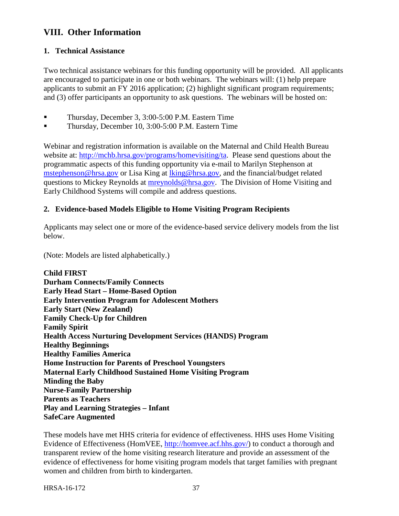# <span id="page-41-0"></span>**VIII. Other Information**

#### <span id="page-41-1"></span>**1. Technical Assistance**

Two technical assistance webinars for this funding opportunity will be provided. All applicants are encouraged to participate in one or both webinars. The webinars will: (1) help prepare applicants to submit an FY 2016 application; (2) highlight significant program requirements; and (3) offer participants an opportunity to ask questions. The webinars will be hosted on:

- Thursday, December 3, 3:00-5:00 P.M. Eastern Time
- Thursday, December 10, 3:00-5:00 P.M. Eastern Time

Webinar and registration information is available on the Maternal and Child Health Bureau website at: [http://mchb.hrsa.gov/programs/homevisiting/ta.](http://mchb.hrsa.gov/programs/homevisiting/ta) Please send questions about the programmatic aspects of this funding opportunity via e-mail to Marilyn Stephenson at [mstephenson@hrsa.gov](mailto:mstephenson@hrsa.gov) or Lisa King at [lking@hrsa.gov,](mailto:lking@hrsa.gov) and the financial/budget related questions to Mickey Reynolds at **mreynolds@hrsa.gov**. The Division of Home Visiting and Early Childhood Systems will compile and address questions.

#### <span id="page-41-2"></span>**2. Evidence-based Models Eligible to Home Visiting Program Recipients**

Applicants may select one or more of the evidence-based service delivery models from the list below.

(Note: Models are listed alphabetically.)

**Child FIRST Durham Connects/Family Connects Early Head Start – Home-Based Option Early Intervention Program for Adolescent Mothers Early Start (New Zealand) Family Check-Up for Children Family Spirit Health Access Nurturing Development Services (HANDS) Program Healthy Beginnings Healthy Families America Home Instruction for Parents of Preschool Youngsters Maternal Early Childhood Sustained Home Visiting Program Minding the Baby Nurse-Family Partnership Parents as Teachers Play and Learning Strategies – Infant SafeCare Augmented**

These models have met HHS criteria for evidence of effectiveness. HHS uses Home Visiting Evidence of Effectiveness (HomVEE, [http://homvee.acf.hhs.gov/\)](http://homvee.acf.hhs.gov/) to conduct a thorough and transparent review of the home visiting research literature and provide an assessment of the evidence of effectiveness for home visiting program models that target families with pregnant women and children from birth to kindergarten.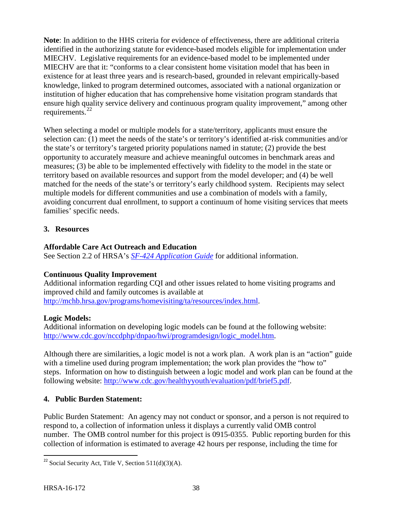**Note**: In addition to the HHS criteria for evidence of effectiveness, there are additional criteria identified in the authorizing statute for evidence-based models eligible for implementation under MIECHV. Legislative requirements for an evidence-based model to be implemented under MIECHV are that it: "conforms to a clear consistent home visitation model that has been in existence for at least three years and is research-based, grounded in relevant empirically-based knowledge, linked to program determined outcomes, associated with a national organization or institution of higher education that has comprehensive home visitation program standards that ensure high quality service delivery and continuous program quality improvement," among other requirements.<sup>[22](#page-42-2)</sup>

When selecting a model or multiple models for a state/territory, applicants must ensure the selection can: (1) meet the needs of the state's or territory's identified at-risk communities and/or the state's or territory's targeted priority populations named in statute; (2) provide the best opportunity to accurately measure and achieve meaningful outcomes in benchmark areas and measures; (3) be able to be implemented effectively with fidelity to the model in the state or territory based on available resources and support from the model developer; and (4) be well matched for the needs of the state's or territory's early childhood system. Recipients may select multiple models for different communities and use a combination of models with a family, avoiding concurrent dual enrollment, to support a continuum of home visiting services that meets families' specific needs.

# <span id="page-42-0"></span>**3. Resources**

# **Affordable Care Act Outreach and Education**

See Section 2.2 of HRSA's *[SF-424 Application Guide](http://www.hrsa.gov/grants/apply/applicationguide/sf424guide.pdf)* for additional information.

# **Continuous Quality Improvement**

Additional information regarding CQI and other issues related to home visiting programs and improved child and family outcomes is available at [http://mchb.hrsa.gov/programs/homevisiting/ta/resources/index.html.](http://mchb.hrsa.gov/programs/homevisiting/ta/resources/index.html)

# **Logic Models:**

Additional information on developing logic models can be found at the following website: [http://www.cdc.gov/nccdphp/dnpao/hwi/programdesign/logic\\_model.htm.](http://www.cdc.gov/nccdphp/dnpao/hwi/programdesign/logic_model.htm)

Although there are similarities, a logic model is not a work plan. A work plan is an "action" guide with a timeline used during program implementation; the work plan provides the "how to" steps. Information on how to distinguish between a logic model and work plan can be found at the following website: [http://www.cdc.gov/healthyyouth/evaluation/pdf/brief5.pdf.](http://www.cdc.gov/healthyyouth/evaluation/pdf/brief5.pdf)

# <span id="page-42-1"></span>**4. Public Burden Statement:**

Public Burden Statement: An agency may not conduct or sponsor, and a person is not required to respond to, a collection of information unless it displays a currently valid OMB control number. The OMB control number for this project is 0915-0355. Public reporting burden for this collection of information is estimated to average 42 hours per response, including the time for

<span id="page-42-2"></span><sup>&</sup>lt;sup>22</sup> Social Security Act, Title V, Section  $511(d)(3)(A)$ .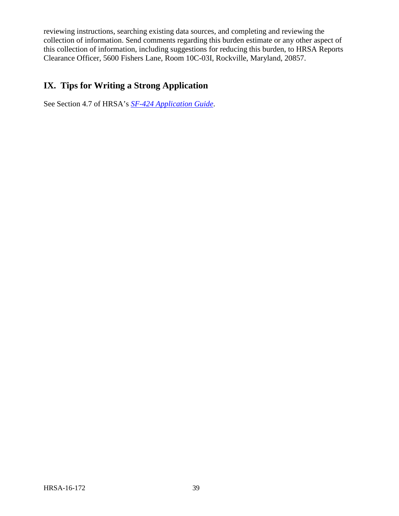reviewing instructions, searching existing data sources, and completing and reviewing the collection of information. Send comments regarding this burden estimate or any other aspect of this collection of information, including suggestions for reducing this burden, to HRSA Reports Clearance Officer, 5600 Fishers Lane, Room 10C-03I, Rockville, Maryland, 20857.

# <span id="page-43-0"></span>**IX. Tips for Writing a Strong Application**

See Section 4.7 of HRSA's *[SF-424 Application Guide](http://www.hrsa.gov/grants/apply/applicationguide/sf424guide.pdf)*.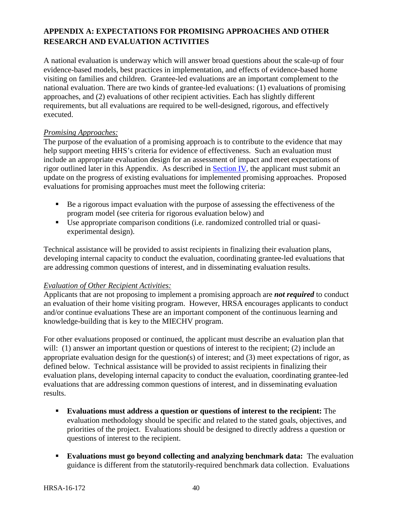# <span id="page-44-0"></span>**APPENDIX A: EXPECTATIONS FOR PROMISING APPROACHES AND OTHER RESEARCH AND EVALUATION ACTIVITIES**

A national evaluation is underway which will answer broad questions about the scale-up of four evidence-based models, best practices in implementation, and effects of evidence-based home visiting on families and children. Grantee-led evaluations are an important complement to the national evaluation. There are two kinds of grantee-led evaluations: (1) evaluations of promising approaches, and (2) evaluations of other recipient activities. Each has slightly different requirements, but all evaluations are required to be well-designed, rigorous, and effectively executed.

#### *Promising Approaches:*

The purpose of the evaluation of a promising approach is to contribute to the evidence that may help support meeting HHS's criteria for evidence of effectiveness. Such an evaluation must include an appropriate evaluation design for an assessment of impact and meet expectations of rigor outlined later in this Appendix. As described in [Section IV,](#page-16-0) the applicant must submit an update on the progress of existing evaluations for implemented promising approaches. Proposed evaluations for promising approaches must meet the following criteria:

- Be a rigorous impact evaluation with the purpose of assessing the effectiveness of the program model (see criteria for rigorous evaluation below) and
- Use appropriate comparison conditions (i.e. randomized controlled trial or quasiexperimental design).

Technical assistance will be provided to assist recipients in finalizing their evaluation plans, developing internal capacity to conduct the evaluation, coordinating grantee-led evaluations that are addressing common questions of interest, and in disseminating evaluation results.

#### *Evaluation of Other Recipient Activities:*

Applicants that are not proposing to implement a promising approach are *not required* to conduct an evaluation of their home visiting program. However, HRSA encourages applicants to conduct and/or continue evaluations These are an important component of the continuous learning and knowledge-building that is key to the MIECHV program.

For other evaluations proposed or continued, the applicant must describe an evaluation plan that will: (1) answer an important question or questions of interest to the recipient; (2) include an appropriate evaluation design for the question(s) of interest; and (3) meet expectations of rigor, as defined below. Technical assistance will be provided to assist recipients in finalizing their evaluation plans, developing internal capacity to conduct the evaluation, coordinating grantee-led evaluations that are addressing common questions of interest, and in disseminating evaluation results.

- **Evaluations must address a question or questions of interest to the recipient:** The evaluation methodology should be specific and related to the stated goals, objectives, and priorities of the project. Evaluations should be designed to directly address a question or questions of interest to the recipient.
- **Evaluations must go beyond collecting and analyzing benchmark data:** The evaluation guidance is different from the statutorily-required benchmark data collection. Evaluations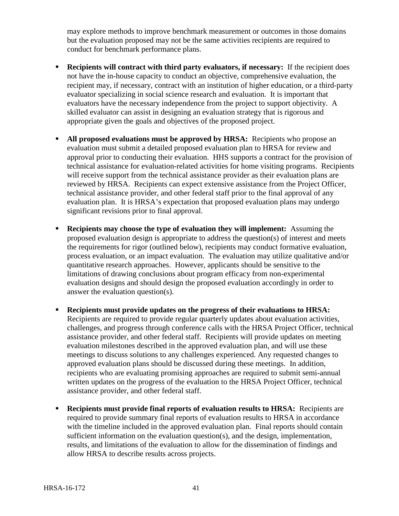may explore methods to improve benchmark measurement or outcomes in those domains but the evaluation proposed may not be the same activities recipients are required to conduct for benchmark performance plans.

- **Recipients will contract with third party evaluators, if necessary:** If the recipient does not have the in-house capacity to conduct an objective, comprehensive evaluation, the recipient may, if necessary, contract with an institution of higher education, or a third-party evaluator specializing in social science research and evaluation. It is important that evaluators have the necessary independence from the project to support objectivity. A skilled evaluator can assist in designing an evaluation strategy that is rigorous and appropriate given the goals and objectives of the proposed project.
- **All proposed evaluations must be approved by HRSA:** Recipients who propose an evaluation must submit a detailed proposed evaluation plan to HRSA for review and approval prior to conducting their evaluation. HHS supports a contract for the provision of technical assistance for evaluation-related activities for home visiting programs. Recipients will receive support from the technical assistance provider as their evaluation plans are reviewed by HRSA. Recipients can expect extensive assistance from the Project Officer, technical assistance provider, and other federal staff prior to the final approval of any evaluation plan. It is HRSA's expectation that proposed evaluation plans may undergo significant revisions prior to final approval.
- **Recipients may choose the type of evaluation they will implement:** Assuming the proposed evaluation design is appropriate to address the question(s) of interest and meets the requirements for rigor (outlined below), recipients may conduct formative evaluation, process evaluation, or an impact evaluation. The evaluation may utilize qualitative and/or quantitative research approaches. However, applicants should be sensitive to the limitations of drawing conclusions about program efficacy from non-experimental evaluation designs and should design the proposed evaluation accordingly in order to answer the evaluation question(s).
- **Recipients must provide updates on the progress of their evaluations to HRSA:** Recipients are required to provide regular quarterly updates about evaluation activities, challenges, and progress through conference calls with the HRSA Project Officer, technical assistance provider, and other federal staff. Recipients will provide updates on meeting evaluation milestones described in the approved evaluation plan, and will use these meetings to discuss solutions to any challenges experienced. Any requested changes to approved evaluation plans should be discussed during these meetings. In addition, recipients who are evaluating promising approaches are required to submit semi-annual written updates on the progress of the evaluation to the HRSA Project Officer, technical assistance provider, and other federal staff.
- **Recipients must provide final reports of evaluation results to HRSA:** Recipients are required to provide summary final reports of evaluation results to HRSA in accordance with the timeline included in the approved evaluation plan. Final reports should contain sufficient information on the evaluation question(s), and the design, implementation, results, and limitations of the evaluation to allow for the dissemination of findings and allow HRSA to describe results across projects.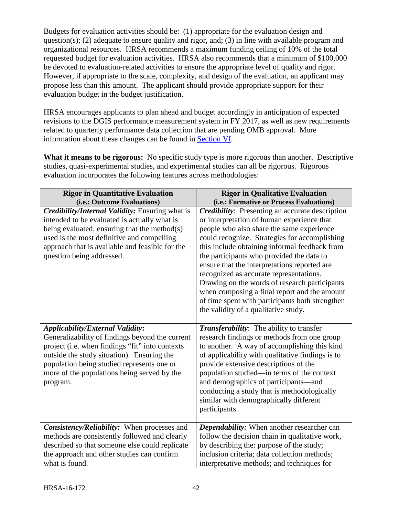Budgets for evaluation activities should be: (1) appropriate for the evaluation design and question(s); (2) adequate to ensure quality and rigor, and; (3) in line with available program and organizational resources. HRSA recommends a maximum funding ceiling of 10% of the total requested budget for evaluation activities. HRSA also recommends that a minimum of \$100,000 be devoted to evaluation-related activities to ensure the appropriate level of quality and rigor. However, if appropriate to the scale, complexity, and design of the evaluation, an applicant may propose less than this amount. The applicant should provide appropriate support for their evaluation budget in the budget justification.

HRSA encourages applicants to plan ahead and budget accordingly in anticipation of expected revisions to the DGIS performance measurement system in FY 2017, as well as new requirements related to quarterly performance data collection that are pending OMB approval. More information about these changes can be found in [Section VI.](#page-37-3)

**What it means to be rigorous:** No specific study type is more rigorous than another. Descriptive studies, quasi-experimental studies, and experimental studies can all be rigorous. Rigorous evaluation incorporates the following features across methodologies:

| <b>Rigor in Quantitative Evaluation</b><br>(i.e.: Outcome Evaluations)                                                                                                                                                                                                                               | <b>Rigor in Qualitative Evaluation</b><br>(i.e.: Formative or Process Evaluations)                                                                                                                                                                                                                                                                                                                                                                                                                                            |
|------------------------------------------------------------------------------------------------------------------------------------------------------------------------------------------------------------------------------------------------------------------------------------------------------|-------------------------------------------------------------------------------------------------------------------------------------------------------------------------------------------------------------------------------------------------------------------------------------------------------------------------------------------------------------------------------------------------------------------------------------------------------------------------------------------------------------------------------|
| <b>Credibility/Internal Validity:</b> Ensuring what is                                                                                                                                                                                                                                               | <b>Credibility:</b> Presenting an accurate description                                                                                                                                                                                                                                                                                                                                                                                                                                                                        |
| intended to be evaluated is actually what is<br>being evaluated; ensuring that the method(s)<br>used is the most definitive and compelling<br>approach that is available and feasible for the<br>question being addressed.                                                                           | or interpretation of human experience that<br>people who also share the same experience<br>could recognize. Strategies for accomplishing<br>this include obtaining informal feedback from<br>the participants who provided the data to<br>ensure that the interpretations reported are<br>recognized as accurate representations.<br>Drawing on the words of research participants<br>when composing a final report and the amount<br>of time spent with participants both strengthen<br>the validity of a qualitative study. |
| <b>Applicability/External Validity:</b><br>Generalizability of findings beyond the current<br>project (i.e. when findings "fit" into contexts<br>outside the study situation). Ensuring the<br>population being studied represents one or<br>more of the populations being served by the<br>program. | <b>Transferability:</b> The ability to transfer<br>research findings or methods from one group<br>to another. A way of accomplishing this kind<br>of applicability with qualitative findings is to<br>provide extensive descriptions of the<br>population studied—in terms of the context<br>and demographics of participants—and<br>conducting a study that is methodologically<br>similar with demographically different<br>participants.                                                                                   |
| Consistency/Reliability: When processes and<br>methods are consistently followed and clearly<br>described so that someone else could replicate<br>the approach and other studies can confirm<br>what is found.                                                                                       | Dependability: When another researcher can<br>follow the decision chain in qualitative work,<br>by describing the: purpose of the study;<br>inclusion criteria; data collection methods;<br>interpretative methods; and techniques for                                                                                                                                                                                                                                                                                        |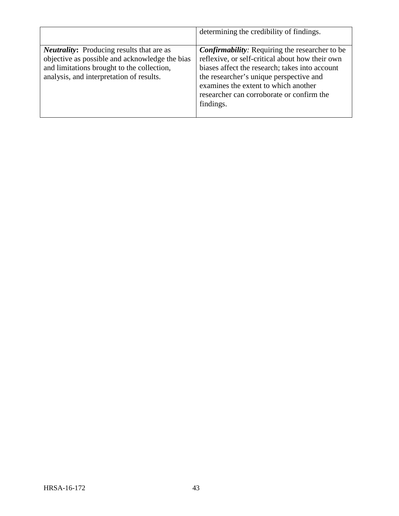|                                                                                                                                                                                                     | determining the credibility of findings.                                                                                                                                                                                                                                                                |
|-----------------------------------------------------------------------------------------------------------------------------------------------------------------------------------------------------|---------------------------------------------------------------------------------------------------------------------------------------------------------------------------------------------------------------------------------------------------------------------------------------------------------|
| <b><i>Neutrality:</i></b> Producing results that are as<br>objective as possible and acknowledge the bias<br>and limitations brought to the collection,<br>analysis, and interpretation of results. | <b>Confirmability:</b> Requiring the researcher to be<br>reflexive, or self-critical about how their own<br>biases affect the research; takes into account<br>the researcher's unique perspective and<br>examines the extent to which another<br>researcher can corroborate or confirm the<br>findings. |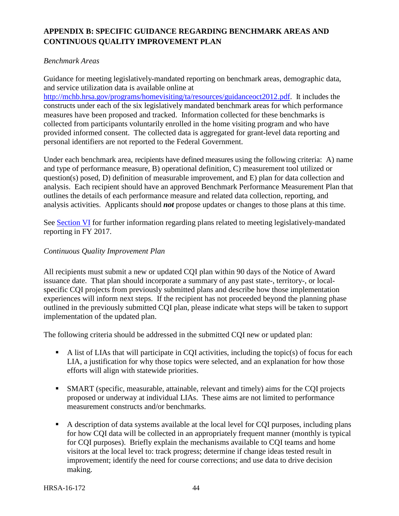# <span id="page-48-0"></span>**APPENDIX B: SPECIFIC GUIDANCE REGARDING BENCHMARK AREAS AND CONTINUOUS QUALITY IMPROVEMENT PLAN**

#### *Benchmark Areas*

Guidance for meeting legislatively-mandated reporting on benchmark areas, demographic data, and service utilization data is available online at

[http://mchb.hrsa.gov/programs/homevisiting/ta/resources/guidanceoct2012.pdf.](http://mchb.hrsa.gov/programs/homevisiting/ta/resources/guidanceoct2012.pdf) It includes the constructs under each of the six legislatively mandated benchmark areas for which performance measures have been proposed and tracked. Information collected for these benchmarks is collected from participants voluntarily enrolled in the home visiting program and who have provided informed consent. The collected data is aggregated for grant-level data reporting and personal identifiers are not reported to the Federal Government.

Under each benchmark area, recipients have defined measures using the following criteria: A) name and type of performance measure, B) operational definition, C) measurement tool utilized or question(s) posed, D) definition of measurable improvement, and E) plan for data collection and analysis. Each recipient should have an approved Benchmark Performance Measurement Plan that outlines the details of each performance measure and related data collection, reporting, and analysis activities. Applicants should *not* propose updates or changes to those plans at this time.

See [Section VI](#page-37-3) for further information regarding plans related to meeting legislatively-mandated reporting in FY 2017.

#### *Continuous Quality Improvement Plan*

All recipients must submit a new or updated CQI plan within 90 days of the Notice of Award issuance date. That plan should incorporate a summary of any past state-, territory-, or localspecific CQI projects from previously submitted plans and describe how those implementation experiences will inform next steps. If the recipient has not proceeded beyond the planning phase outlined in the previously submitted CQI plan, please indicate what steps will be taken to support implementation of the updated plan.

The following criteria should be addressed in the submitted CQI new or updated plan:

- A list of LIAs that will participate in CQI activities, including the topic(s) of focus for each LIA, a justification for why those topics were selected, and an explanation for how those efforts will align with statewide priorities.
- SMART (specific, measurable, attainable, relevant and timely) aims for the CQI projects proposed or underway at individual LIAs. These aims are not limited to performance measurement constructs and/or benchmarks.
- A description of data systems available at the local level for CQI purposes, including plans for how CQI data will be collected in an appropriately frequent manner (monthly is typical for CQI purposes). Briefly explain the mechanisms available to CQI teams and home visitors at the local level to: track progress; determine if change ideas tested result in improvement; identify the need for course corrections; and use data to drive decision making.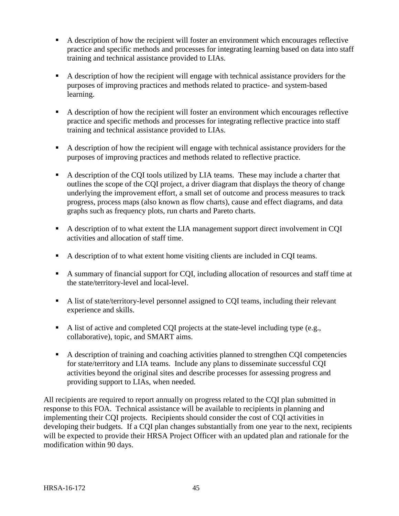- A description of how the recipient will foster an environment which encourages reflective practice and specific methods and processes for integrating learning based on data into staff training and technical assistance provided to LIAs.
- A description of how the recipient will engage with technical assistance providers for the purposes of improving practices and methods related to practice- and system-based learning.
- A description of how the recipient will foster an environment which encourages reflective practice and specific methods and processes for integrating reflective practice into staff training and technical assistance provided to LIAs.
- A description of how the recipient will engage with technical assistance providers for the purposes of improving practices and methods related to reflective practice.
- A description of the CQI tools utilized by LIA teams. These may include a charter that outlines the scope of the CQI project, a driver diagram that displays the theory of change underlying the improvement effort, a small set of outcome and process measures to track progress, process maps (also known as flow charts), cause and effect diagrams, and data graphs such as frequency plots, run charts and Pareto charts.
- A description of to what extent the LIA management support direct involvement in CQI activities and allocation of staff time.
- A description of to what extent home visiting clients are included in CQI teams.
- A summary of financial support for CQI, including allocation of resources and staff time at the state/territory-level and local-level.
- A list of state/territory-level personnel assigned to CQI teams, including their relevant experience and skills.
- A list of active and completed CQI projects at the state-level including type (e.g., collaborative), topic, and SMART aims.
- A description of training and coaching activities planned to strengthen CQI competencies for state/territory and LIA teams. Include any plans to disseminate successful CQI activities beyond the original sites and describe processes for assessing progress and providing support to LIAs, when needed.

All recipients are required to report annually on progress related to the CQI plan submitted in response to this FOA. Technical assistance will be available to recipients in planning and implementing their CQI projects. Recipients should consider the cost of CQI activities in developing their budgets. If a CQI plan changes substantially from one year to the next, recipients will be expected to provide their HRSA Project Officer with an updated plan and rationale for the modification within 90 days.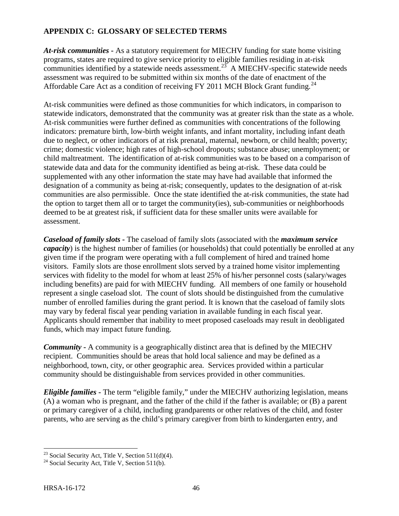# <span id="page-50-0"></span>**APPENDIX C: GLOSSARY OF SELECTED TERMS**

*At-risk communities* **-** As a statutory requirement for MIECHV funding for state home visiting programs, states are required to give service priority to eligible families residing in at-risk communities identified by a statewide needs assessment.<sup>23</sup> A MIECHV-specific statewide needs assessment was required to be submitted within six months of the date of enactment of the Affordable Care Act as a condition of receiving FY 2011 MCH Block Grant funding.<sup>[24](#page-50-2)</sup>

At-risk communities were defined as those communities for which indicators, in comparison to statewide indicators, demonstrated that the community was at greater risk than the state as a whole. At-risk communities were further defined as communities with concentrations of the following indicators: premature birth, low-birth weight infants, and infant mortality, including infant death due to neglect, or other indicators of at risk prenatal, maternal, newborn, or child health; poverty; crime; domestic violence; high rates of high-school dropouts; substance abuse; unemployment; or child maltreatment. The identification of at-risk communities was to be based on a comparison of statewide data and data for the community identified as being at-risk. These data could be supplemented with any other information the state may have had available that informed the designation of a community as being at-risk; consequently, updates to the designation of at-risk communities are also permissible. Once the state identified the at-risk communities, the state had the option to target them all or to target the community(ies), sub-communities or neighborhoods deemed to be at greatest risk, if sufficient data for these smaller units were available for assessment.

*Caseload of family slots* **-** The caseload of family slots (associated with the *maximum service capacity*) is the highest number of families (or households) that could potentially be enrolled at any given time if the program were operating with a full complement of hired and trained home visitors. Family slots are those enrollment slots served by a trained home visitor implementing services with fidelity to the model for whom at least 25% of his/her personnel costs (salary/wages including benefits) are paid for with MIECHV funding. All members of one family or household represent a single caseload slot. The count of slots should be distinguished from the cumulative number of enrolled families during the grant period. It is known that the caseload of family slots may vary by federal fiscal year pending variation in available funding in each fiscal year. Applicants should remember that inability to meet proposed caseloads may result in deobligated funds, which may impact future funding.

*Community* **-** A community is a geographically distinct area that is defined by the MIECHV recipient. Communities should be areas that hold local salience and may be defined as a neighborhood, town, city, or other geographic area. Services provided within a particular community should be distinguishable from services provided in other communities.

*Eligible families* **-** The term "eligible family," under the MIECHV authorizing legislation, means (A) a woman who is pregnant, and the father of the child if the father is available; or (B) a parent or primary caregiver of a child, including grandparents or other relatives of the child, and foster parents, who are serving as the child's primary caregiver from birth to kindergarten entry, and

<span id="page-50-2"></span><span id="page-50-1"></span><sup>&</sup>lt;sup>23</sup> Social Security Act, Title V, Section 511(d)(4).<br><sup>24</sup> Social Security Act, Title V, Section 511(b).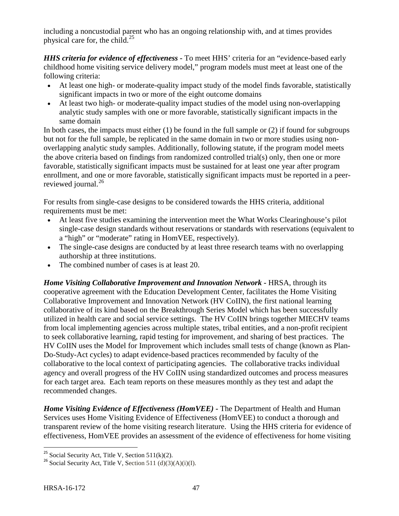including a noncustodial parent who has an ongoing relationship with, and at times provides physical care for, the child. $^{25}$  $^{25}$  $^{25}$ 

*HHS criteria for evidence of effectiveness* **-** To meet HHS' criteria for an "evidence-based early childhood home visiting service delivery model," program models must meet at least one of the following criteria:

- At least one high- or moderate-quality impact study of the model finds favorable, statistically significant impacts in two or more of the eight outcome domains
- At least two high- or moderate-quality impact studies of the model using non-overlapping analytic study samples with one or more favorable, statistically significant impacts in the same domain

In both cases, the impacts must either (1) be found in the full sample or (2) if found for subgroups but not for the full sample, be replicated in the same domain in two or more studies using nonoverlapping analytic study samples. Additionally, following statute, if the program model meets the above criteria based on findings from randomized controlled trial(s) only, then one or more favorable, statistically significant impacts must be sustained for at least one year after program enrollment, and one or more favorable, statistically significant impacts must be reported in a peer-reviewed journal.<sup>[26](#page-51-1)</sup>

For results from single-case designs to be considered towards the HHS criteria, additional requirements must be met:

- At least five studies examining the intervention meet the What Works Clearinghouse's pilot single-case design standards without reservations or standards with reservations (equivalent to a "high" or "moderate" rating in HomVEE, respectively).
- The single-case designs are conducted by at least three research teams with no overlapping authorship at three institutions.
- The combined number of cases is at least 20.

*Home Visiting Collaborative Improvement and Innovation Network* **-** HRSA, through its cooperative agreement with the Education Development Center, facilitates the Home Visiting Collaborative Improvement and Innovation Network (HV CoIIN), the first national learning collaborative of its kind based on the Breakthrough Series Model which has been successfully utilized in health care and social service settings. The HV CoIIN brings together MIECHV teams from local implementing agencies across multiple states, tribal entities, and a non-profit recipient to seek collaborative learning, rapid testing for improvement, and sharing of best practices. The HV CoIIN uses the Model for Improvement which includes small tests of change (known as Plan-Do-Study-Act cycles) to adapt evidence-based practices recommended by faculty of the collaborative to the local context of participating agencies. The collaborative tracks individual agency and overall progress of the HV CoIIN using standardized outcomes and process measures for each target area. Each team reports on these measures monthly as they test and adapt the recommended changes.

*Home Visiting Evidence of Effectiveness (HomVEE)* **-** The Department of Health and Human Services uses Home Visiting Evidence of Effectiveness (HomVEE) to conduct a thorough and transparent review of the home visiting research literature. Using the HHS criteria for evidence of effectiveness, HomVEE provides an assessment of the evidence of effectiveness for home visiting

<span id="page-51-1"></span><span id="page-51-0"></span><sup>&</sup>lt;sup>25</sup> Social Security Act, Title V, Section 511(k)(2).<br><sup>26</sup> Social Security Act, Title V, Section 511 (d)(3)(A)(i)(I).